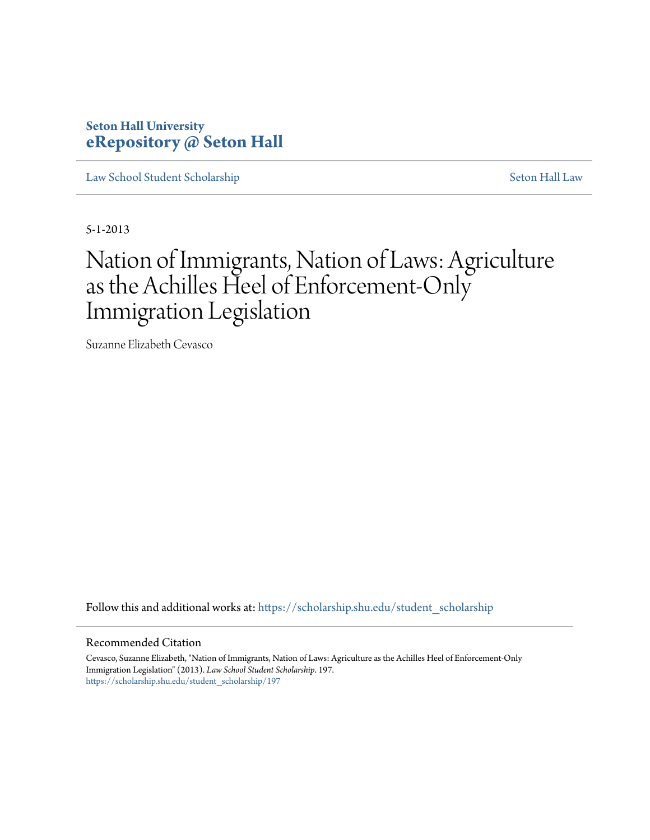# **Seton Hall University [eRepository @ Seton Hall](https://scholarship.shu.edu?utm_source=scholarship.shu.edu%2Fstudent_scholarship%2F197&utm_medium=PDF&utm_campaign=PDFCoverPages)**

[Law School Student Scholarship](https://scholarship.shu.edu/student_scholarship?utm_source=scholarship.shu.edu%2Fstudent_scholarship%2F197&utm_medium=PDF&utm_campaign=PDFCoverPages) [Seton Hall Law](https://scholarship.shu.edu/law?utm_source=scholarship.shu.edu%2Fstudent_scholarship%2F197&utm_medium=PDF&utm_campaign=PDFCoverPages)

5-1-2013

# Nation of Immigrants, Nation of Laws: Agriculture as the Achilles Heel of Enforcement-Only Immigration Legislation

Suzanne Elizabeth Cevasco

Follow this and additional works at: [https://scholarship.shu.edu/student\\_scholarship](https://scholarship.shu.edu/student_scholarship?utm_source=scholarship.shu.edu%2Fstudent_scholarship%2F197&utm_medium=PDF&utm_campaign=PDFCoverPages)

#### Recommended Citation

Cevasco, Suzanne Elizabeth, "Nation of Immigrants, Nation of Laws: Agriculture as the Achilles Heel of Enforcement-Only Immigration Legislation" (2013). *Law School Student Scholarship*. 197. [https://scholarship.shu.edu/student\\_scholarship/197](https://scholarship.shu.edu/student_scholarship/197?utm_source=scholarship.shu.edu%2Fstudent_scholarship%2F197&utm_medium=PDF&utm_campaign=PDFCoverPages)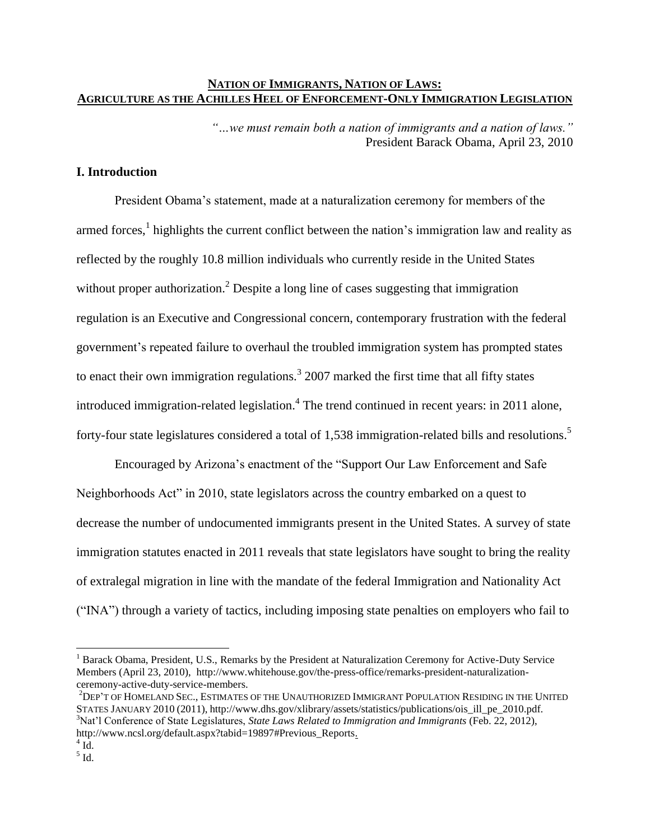# **NATION OF IMMIGRANTS, NATION OF LAWS: AGRICULTURE AS THE ACHILLES HEEL OF ENFORCEMENT-ONLY IMMIGRATION LEGISLATION**

*"…we must remain both a nation of immigrants and a nation of laws."*  President Barack Obama, April 23, 2010

# **I. Introduction**

President Obama's statement, made at a naturalization ceremony for members of the armed forces,<sup>1</sup> highlights the current conflict between the nation's immigration law and reality as reflected by the roughly 10.8 million individuals who currently reside in the United States without proper authorization.<sup>2</sup> Despite a long line of cases suggesting that immigration regulation is an Executive and Congressional concern, contemporary frustration with the federal government's repeated failure to overhaul the troubled immigration system has prompted states to enact their own immigration regulations.<sup>3</sup> 2007 marked the first time that all fifty states introduced immigration-related legislation.<sup>4</sup> The trend continued in recent years: in 2011 alone, forty-four state legislatures considered a total of 1,538 immigration-related bills and resolutions.<sup>5</sup>

Encouraged by Arizona's enactment of the "Support Our Law Enforcement and Safe Neighborhoods Act" in 2010, state legislators across the country embarked on a quest to decrease the number of undocumented immigrants present in the United States. A survey of state immigration statutes enacted in 2011 reveals that state legislators have sought to bring the reality of extralegal migration in line with the mandate of the federal Immigration and Nationality Act ("INA") through a variety of tactics, including imposing state penalties on employers who fail to

<sup>&</sup>lt;sup>1</sup> Barack Obama, President, U.S., Remarks by the President at Naturalization Ceremony for Active-Duty Service Members (April 23, 2010), http://www.whitehouse.gov/the-press-office/remarks-president-naturalizationceremony-active-duty-service-members.

<sup>2</sup>DEP'T OF HOMELAND SEC., ESTIMATES OF THE UNAUTHORIZED IMMIGRANT POPULATION RESIDING IN THE UNITED STATES JANUARY 2010 (2011), http://www.dhs.gov/xlibrary/assets/statistics/publications/ois\_ill\_pe\_2010.pdf. <sup>3</sup>Nat'l Conference of State Legislatures, *State Laws Related to Immigration and Immigrants* (Feb. 22, 2012), http://www.ncsl.org/default.aspx?tabid=19897#Previous\_Reports.

 $\rm ^{4}$  Id.  $<sup>5</sup>$  Id.</sup>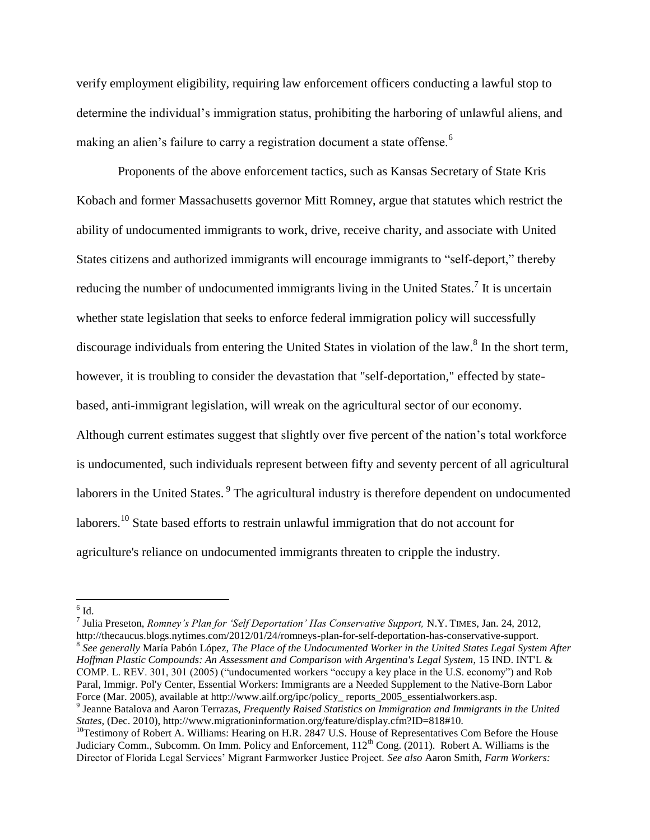verify employment eligibility, requiring law enforcement officers conducting a lawful stop to determine the individual's immigration status, prohibiting the harboring of unlawful aliens, and making an alien's failure to carry a registration document a state offense.<sup>6</sup>

Proponents of the above enforcement tactics, such as Kansas Secretary of State Kris Kobach and former Massachusetts governor Mitt Romney, argue that statutes which restrict the ability of undocumented immigrants to work, drive, receive charity, and associate with United States citizens and authorized immigrants will encourage immigrants to "self-deport," thereby reducing the number of undocumented immigrants living in the United States.<sup>7</sup> It is uncertain whether state legislation that seeks to enforce federal immigration policy will successfully discourage individuals from entering the United States in violation of the law.<sup>8</sup> In the short term, however, it is troubling to consider the devastation that "self-deportation," effected by statebased, anti-immigrant legislation, will wreak on the agricultural sector of our economy. Although current estimates suggest that slightly over five percent of the nation's total workforce is undocumented, such individuals represent between fifty and seventy percent of all agricultural laborers in the United States.<sup>9</sup> The agricultural industry is therefore dependent on undocumented laborers.<sup>10</sup> State based efforts to restrain unlawful immigration that do not account for agriculture's reliance on undocumented immigrants threaten to cripple the industry.

7 Julia Preseton, *Romney's Plan for 'Self Deportation' Has Conservative Support,* N.Y. TIMES, Jan. 24, 2012, http://thecaucus.blogs.nytimes.com/2012/01/24/romneys-plan-for-self-deportation-has-conservative-support. 8 *See generally* María Pabón López, *The Place of the Undocumented Worker in the United States Legal System After Hoffman Plastic Compounds: An Assessment and Comparison with Argentina's Legal System*, 15 IND. INT'L & COMP. L. REV. 301, 301 (2005) ("undocumented workers "occupy a key place in the U.S. economy") and Rob Paral, Immigr. Pol'y Center, Essential Workers: Immigrants are a Needed Supplement to the Native-Born Labor Force (Mar. 2005), available at http://www.ailf.org/ipc/policy\_ reports\_2005\_essentialworkers.asp.

 $6$  Id.

<sup>&</sup>lt;sup>9</sup> Jeanne Batalova and Aaron Terrazas, *Frequently Raised Statistics on Immigration and Immigrants in the United States*, (Dec. 2010), http://www.migrationinformation.org/feature/display.cfm?ID=818#10.

<sup>&</sup>lt;sup>10</sup>Testimony of Robert A. Williams: Hearing on H.R. 2847 U.S. House of Representatives Com Before the House Judiciary Comm., Subcomm. On Imm. Policy and Enforcement, 112<sup>th</sup> Cong. (2011). Robert A. Williams is the Director of Florida Legal Services' Migrant Farmworker Justice Project. *See also* Aaron Smith, *Farm Workers:*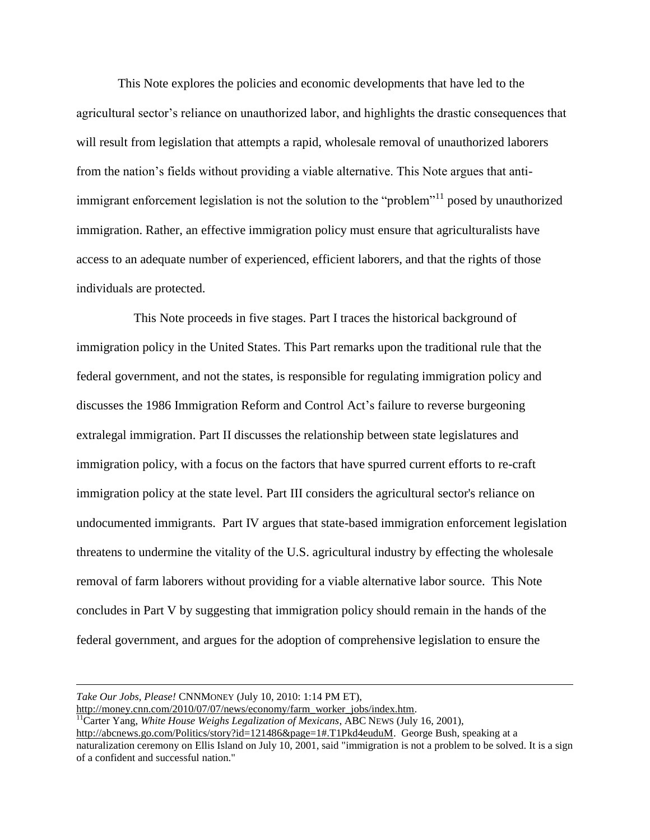This Note explores the policies and economic developments that have led to the agricultural sector's reliance on unauthorized labor, and highlights the drastic consequences that will result from legislation that attempts a rapid, wholesale removal of unauthorized laborers from the nation's fields without providing a viable alternative. This Note argues that antiimmigrant enforcement legislation is not the solution to the "problem"<sup>11</sup> posed by unauthorized immigration. Rather, an effective immigration policy must ensure that agriculturalists have access to an adequate number of experienced, efficient laborers, and that the rights of those individuals are protected.

This Note proceeds in five stages. Part I traces the historical background of immigration policy in the United States. This Part remarks upon the traditional rule that the federal government, and not the states, is responsible for regulating immigration policy and discusses the 1986 Immigration Reform and Control Act's failure to reverse burgeoning extralegal immigration. Part II discusses the relationship between state legislatures and immigration policy, with a focus on the factors that have spurred current efforts to re-craft immigration policy at the state level. Part III considers the agricultural sector's reliance on undocumented immigrants. Part IV argues that state-based immigration enforcement legislation threatens to undermine the vitality of the U.S. agricultural industry by effecting the wholesale removal of farm laborers without providing for a viable alternative labor source. This Note concludes in Part V by suggesting that immigration policy should remain in the hands of the federal government, and argues for the adoption of comprehensive legislation to ensure the

*Take Our Jobs, Please!* CNNMONEY (July 10, 2010: 1:14 PM ET), [http://money.cnn.com/2010/07/07/news/economy/farm\\_worker\\_jobs/index.htm.](http://money.cnn.com/2010/07/07/news/economy/farm_worker_jobs/index.htm)

l

<sup>11</sup>Carter Yang, *White House Weighs Legalization of Mexicans*, ABC NEWS (July 16, 2001),

[http://abcnews.go.com/Politics/story?id=121486&page=1#.T1Pkd4euduM.](http://abcnews.go.com/Politics/story?id=121486&page=1#.T1Pkd4euduM) George Bush, speaking at a

naturalization ceremony on Ellis Island on July 10, 2001, said "immigration is not a problem to be solved. It is a sign of a confident and successful nation."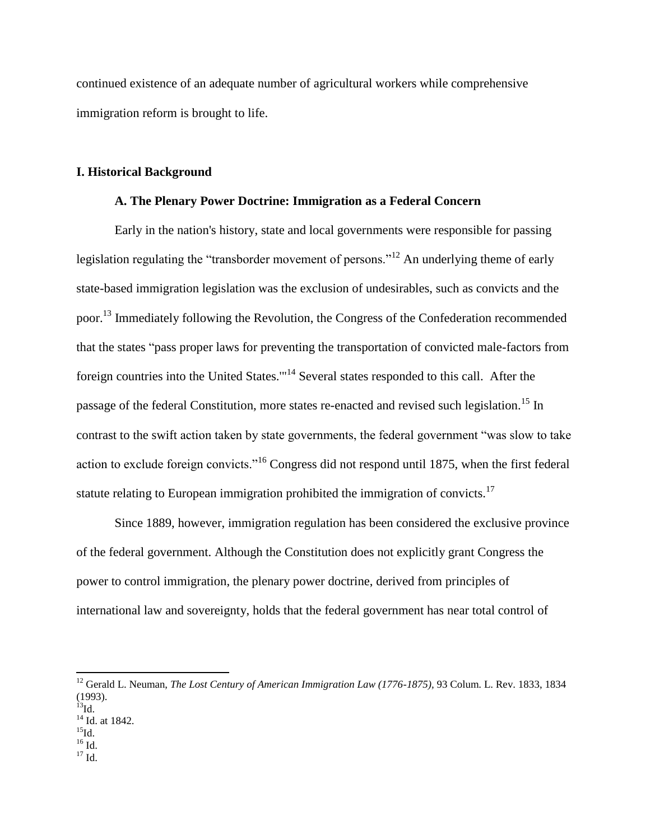continued existence of an adequate number of agricultural workers while comprehensive immigration reform is brought to life.

#### **I. Historical Background**

# **A. The Plenary Power Doctrine: Immigration as a Federal Concern**

Early in the nation's history, state and local governments were responsible for passing legislation regulating the "transborder movement of persons."<sup>12</sup> An underlying theme of early state-based immigration legislation was the exclusion of undesirables, such as convicts and the poor.<sup>13</sup> Immediately following the Revolution, the Congress of the Confederation recommended that the states "pass proper laws for preventing the transportation of convicted male-factors from foreign countries into the United States.'"<sup>14</sup> Several states responded to this call. After the passage of the federal Constitution, more states re-enacted and revised such legislation.<sup>15</sup> In contrast to the swift action taken by state governments, the federal government "was slow to take action to exclude foreign convicts."<sup>16</sup> Congress did not respond until 1875, when the first federal statute relating to European immigration prohibited the immigration of convicts.<sup>17</sup>

Since 1889, however, immigration regulation has been considered the exclusive province of the federal government. Although the Constitution does not explicitly grant Congress the power to control immigration, the plenary power doctrine, derived from principles of international law and sovereignty, holds that the federal government has near total control of

- $^{16}$  Id.
- $17 \text{ Id.}$

<sup>&</sup>lt;sup>12</sup> Gerald L. Neuman, *The Lost Century of American Immigration Law (1776-1875)*, 93 Colum. L. Rev. 1833, 1834 (1993).

 $^{13}$ Id.

<sup>&</sup>lt;sup>14</sup> Id. at 1842.  $^{15}$ Id.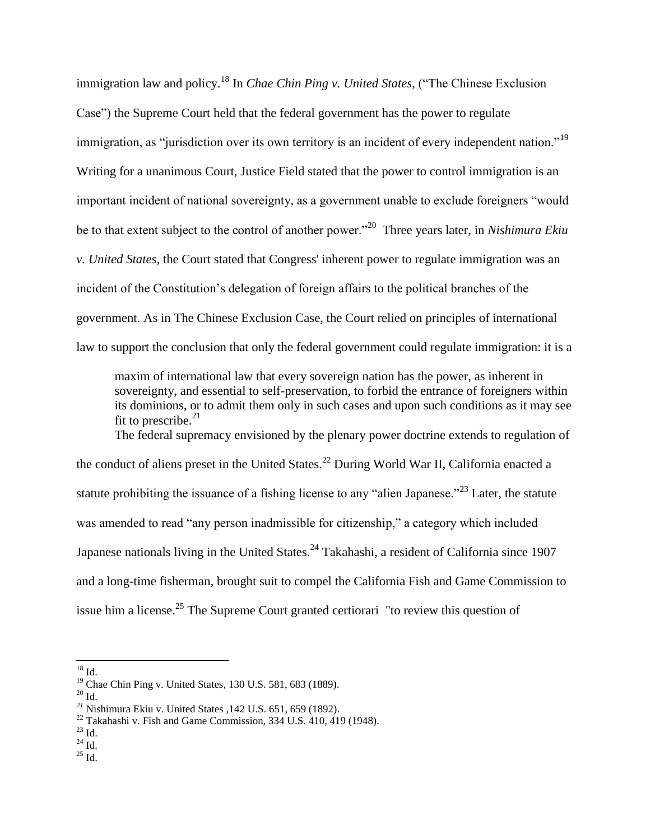immigration law and policy.<sup>18</sup> In *Chae Chin Ping v. United States*, ("The Chinese Exclusion Case") the Supreme Court held that the federal government has the power to regulate immigration, as "jurisdiction over its own territory is an incident of every independent nation."<sup>19</sup> Writing for a unanimous Court, Justice Field stated that the power to control immigration is an important incident of national sovereignty, as a government unable to exclude foreigners "would be to that extent subject to the control of another power."<sup>20</sup> Three years later, in *Nishimura Ekiu v. United States*, the Court stated that Congress' inherent power to regulate immigration was an incident of the Constitution's delegation of foreign affairs to the political branches of the government. As in The Chinese Exclusion Case, the Court relied on principles of international law to support the conclusion that only the federal government could regulate immigration: it is a

maxim of international law that every sovereign nation has the power, as inherent in sovereignty, and essential to self-preservation, to forbid the entrance of foreigners within its dominions, or to admit them only in such cases and upon such conditions as it may see fit to prescribe. $21$ 

The federal supremacy envisioned by the plenary power doctrine extends to regulation of the conduct of aliens preset in the United States.<sup>22</sup> During World War II, California enacted a statute prohibiting the issuance of a fishing license to any "alien Japanese."<sup>23</sup> Later, the statute was amended to read "any person inadmissible for citizenship," a category which included Japanese nationals living in the United States.<sup>24</sup> Takahashi, a resident of California since 1907 and a long-time fisherman, brought suit to compel the California Fish and Game Commission to issue him a license.<sup>25</sup> The Supreme Court granted certiorari "to review this question of

 $\overline{a}$ 

 $^{25}$  Id.

 $18$  Id.

<sup>&</sup>lt;sup>19</sup> Chae Chin Ping v. United States, 130 U.S. 581, 683 (1889).

 $^{\rm 20}$  Id.

*<sup>21</sup>* Nishimura Ekiu v. United States ,142 U.S. 651, 659 (1892).

 $^{22}$  Takahashi v. Fish and Game Commission, 334 U.S. 410, 419 (1948).

 $^{23}$  Id.  $\,$ 

 $^{24}$  Id.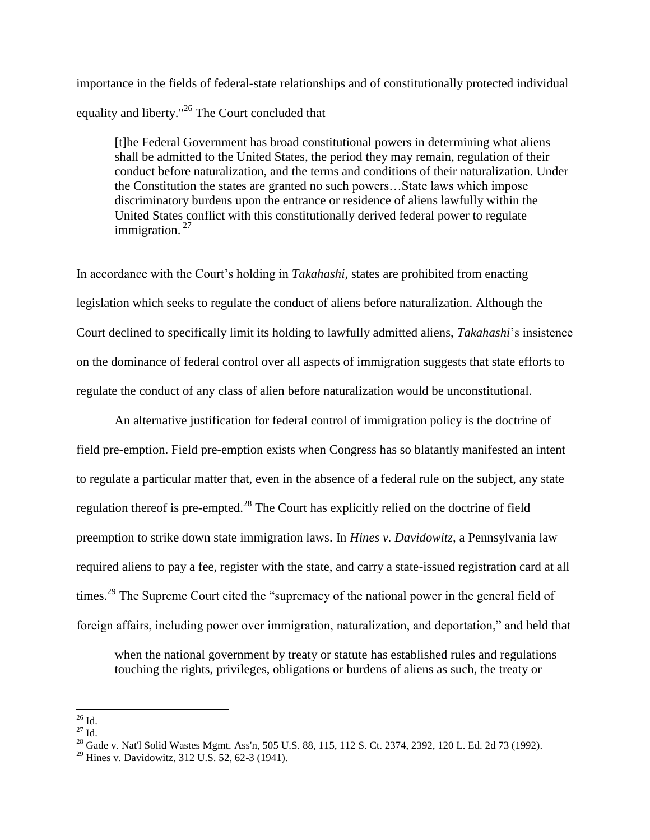importance in the fields of federal-state relationships and of constitutionally protected individual equality and liberty."<sup>26</sup> The Court concluded that

[t]he Federal Government has broad constitutional powers in determining what aliens shall be admitted to the United States, the period they may remain, regulation of their conduct before naturalization, and the terms and conditions of their naturalization. Under the Constitution the states are granted no such powers…State laws which impose discriminatory burdens upon the entrance or residence of aliens lawfully within the United States conflict with this constitutionally derived federal power to regulate immigration.<sup>27</sup>

In accordance with the Court's holding in *Takahashi,* states are prohibited from enacting legislation which seeks to regulate the conduct of aliens before naturalization. Although the Court declined to specifically limit its holding to lawfully admitted aliens, *Takahashi*'s insistence on the dominance of federal control over all aspects of immigration suggests that state efforts to regulate the conduct of any class of alien before naturalization would be unconstitutional.

An alternative justification for federal control of immigration policy is the doctrine of field pre-emption. Field pre-emption exists when Congress has so blatantly manifested an intent to regulate a particular matter that, even in the absence of a federal rule on the subject, any state regulation thereof is pre-empted.<sup>28</sup> The Court has explicitly relied on the doctrine of field preemption to strike down state immigration laws. In *Hines v. Davidowitz,* a Pennsylvania law required aliens to pay a fee, register with the state, and carry a state-issued registration card at all times.<sup>29</sup> The Supreme Court cited the "supremacy of the national power in the general field of foreign affairs, including power over immigration, naturalization, and deportation," and held that

when the national government by treaty or statute has established rules and regulations touching the rights, privileges, obligations or burdens of aliens as such, the treaty or

 $\overline{\phantom{a}}$  $^{26}$  Id.

 $27$  Id.

<sup>&</sup>lt;sup>28</sup> Gade v. Nat'l Solid Wastes Mgmt. Ass'n, 505 U.S. 88, 115, 112 S. Ct. 2374, 2392, 120 L. Ed. 2d 73 (1992).

<sup>&</sup>lt;sup>29</sup> Hines v. Davidowitz, 312 U.S. 52, 62-3 (1941).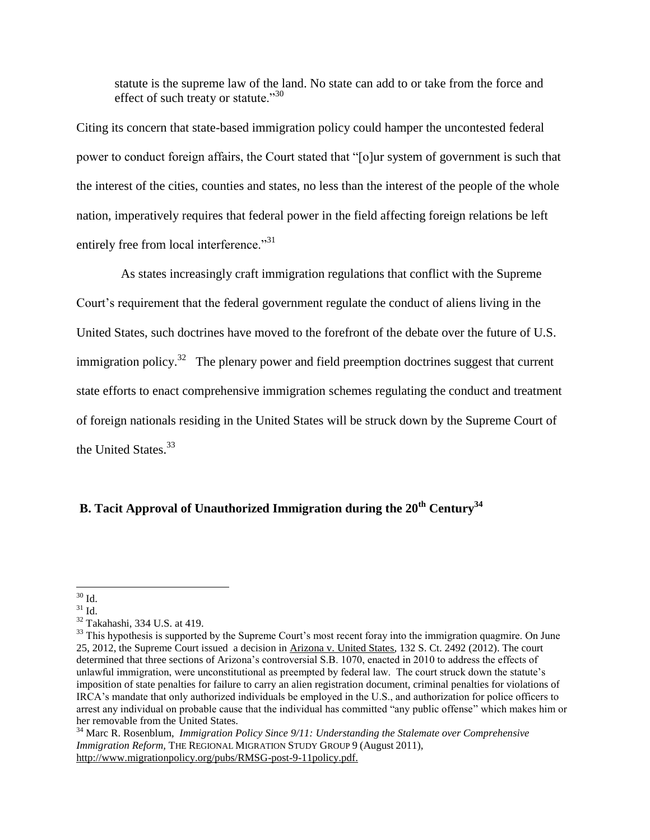statute is the supreme law of the land. No state can add to or take from the force and effect of such treaty or statute." $30$ 

Citing its concern that state-based immigration policy could hamper the uncontested federal power to conduct foreign affairs, the Court stated that "[o]ur system of government is such that the interest of the cities, counties and states, no less than the interest of the people of the whole nation, imperatively requires that federal power in the field affecting foreign relations be left entirely free from local interference."<sup>31</sup>

 As states increasingly craft immigration regulations that conflict with the Supreme Court's requirement that the federal government regulate the conduct of aliens living in the United States, such doctrines have moved to the forefront of the debate over the future of U.S. immigration policy.<sup>32</sup> The plenary power and field preemption doctrines suggest that current state efforts to enact comprehensive immigration schemes regulating the conduct and treatment of foreign nationals residing in the United States will be struck down by the Supreme Court of the United States.<sup>33</sup>

# **B. Tacit Approval of Unauthorized Immigration during the 20th Century<sup>34</sup>**

 $\overline{a}$  $30$  Id.

 $31$  Id.

<sup>32</sup> Takahashi, 334 U.S. at 419.

 $33$  This hypothesis is supported by the Supreme Court's most recent foray into the immigration quagmire. On June 25, 2012, the Supreme Court issued a decision in Arizona v. United States, 132 S. Ct. 2492 (2012). The court determined that three sections of Arizona's controversial S.B. 1070, enacted in 2010 to address the effects of unlawful immigration, were unconstitutional as preempted by federal law. The court struck down the statute's imposition of state penalties for failure to carry an alien registration document, criminal penalties for violations of IRCA's mandate that only authorized individuals be employed in the U.S., and authorization for police officers to arrest any individual on probable cause that the individual has committed "any public offense" which makes him or her removable from the United States.

<sup>34</sup> Marc R. Rosenblum, *Immigration Policy Since 9/11: Understanding the Stalemate over Comprehensive Immigration Reform,* THE REGIONAL MIGRATION STUDY GROUP 9 (August 2011), [http://www.migrationpolicy.org/pubs/RMSG-post-9-11policy.pdf.](http://www.migrationpolicy.org/pubs/RMSG-post-9-11policy.pdf)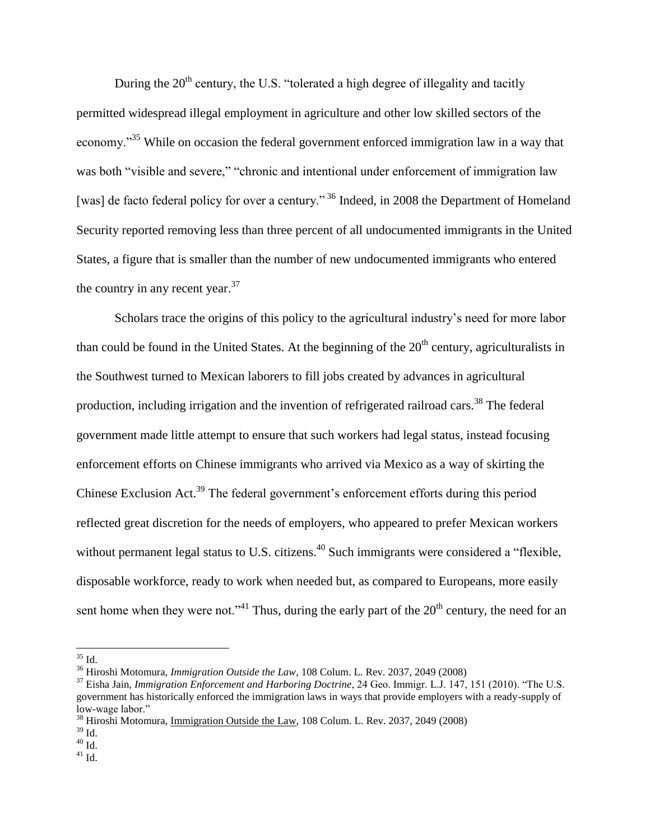During the  $20<sup>th</sup>$  century, the U.S. "tolerated a high degree of illegality and tacitly permitted widespread illegal employment in agriculture and other low skilled sectors of the economy."<sup>35</sup> While on occasion the federal government enforced immigration law in a way that was both "visible and severe," "chronic and intentional under enforcement of immigration law [was] de facto federal policy for over a century."<sup>36</sup> Indeed, in 2008 the Department of Homeland Security reported removing less than three percent of all undocumented immigrants in the United States, a figure that is smaller than the number of new undocumented immigrants who entered the country in any recent year.  $37$ 

Scholars trace the origins of this policy to the agricultural industry's need for more labor than could be found in the United States. At the beginning of the  $20<sup>th</sup>$  century, agriculturalists in the Southwest turned to Mexican laborers to fill jobs created by advances in agricultural production, including irrigation and the invention of refrigerated railroad cars.<sup>38</sup> The federal government made little attempt to ensure that such workers had legal status, instead focusing enforcement efforts on Chinese immigrants who arrived via Mexico as a way of skirting the Chinese Exclusion Act.<sup>39</sup> The federal government's enforcement efforts during this period reflected great discretion for the needs of employers, who appeared to prefer Mexican workers without permanent legal status to U.S. citizens.<sup>40</sup> Such immigrants were considered a "flexible, disposable workforce, ready to work when needed but, as compared to Europeans, more easily sent home when they were not."<sup>41</sup> Thus, during the early part of the  $20<sup>th</sup>$  century, the need for an

 $\overline{\phantom{a}}$ 

 $40 \overline{Id}$ .

 $35$  Id.

<sup>36</sup> Hiroshi Motomura, *Immigration Outside the Law*, 108 Colum. L. Rev. 2037, 2049 (2008)

<sup>&</sup>lt;sup>37</sup> Eisha Jain, *Immigration Enforcement and Harboring Doctrine*, 24 Geo. Immigr. L.J. 147, 151 (2010). "The U.S. government has historically enforced the immigration laws in ways that provide employers with a ready-supply of low-wage labor."

<sup>38</sup> Hiroshi Motomura, Immigration Outside the Law, 108 Colum. L. Rev. 2037, 2049 (2008)

 $39$  Id.

 $41$  Id.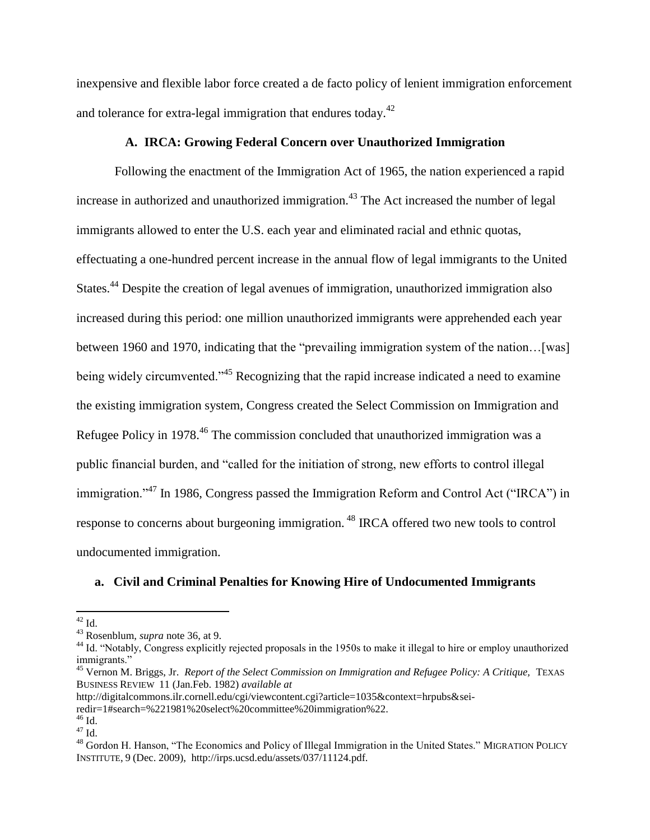inexpensive and flexible labor force created a de facto policy of lenient immigration enforcement and tolerance for extra-legal immigration that endures today. $42$ 

#### **A. IRCA: Growing Federal Concern over Unauthorized Immigration**

Following the enactment of the Immigration Act of 1965, the nation experienced a rapid increase in authorized and unauthorized immigration.<sup>43</sup> The Act increased the number of legal immigrants allowed to enter the U.S. each year and eliminated racial and ethnic quotas, effectuating a one-hundred percent increase in the annual flow of legal immigrants to the United States.<sup>44</sup> Despite the creation of legal avenues of immigration, unauthorized immigration also increased during this period: one million unauthorized immigrants were apprehended each year between 1960 and 1970, indicating that the "prevailing immigration system of the nation...[was] being widely circumvented.<sup>45</sup> Recognizing that the rapid increase indicated a need to examine the existing immigration system, Congress created the Select Commission on Immigration and Refugee Policy in 1978.<sup>46</sup> The commission concluded that unauthorized immigration was a public financial burden, and "called for the initiation of strong, new efforts to control illegal immigration."<sup>47</sup> In 1986, Congress passed the Immigration Reform and Control Act ("IRCA") in response to concerns about burgeoning immigration. <sup>48</sup> IRCA offered two new tools to control undocumented immigration.

# **a. Civil and Criminal Penalties for Knowing Hire of Undocumented Immigrants**

l

 $^{42}$  Id.

<sup>43</sup> Rosenblum, *supra* note 36, at 9.

<sup>&</sup>lt;sup>44</sup> Id. "Notably, Congress explicitly rejected proposals in the 1950s to make it illegal to hire or employ unauthorized immigrants."

<sup>&</sup>lt;sup>45</sup> Vernon M. Briggs, Jr. *Report of the Select Commission on Immigration and Refugee Policy: A Critique, TEXAS* BUSINESS REVIEW 11 (Jan.Feb. 1982) *available at*

http://digitalcommons.ilr.cornell.edu/cgi/viewcontent.cgi?article=1035&context=hrpubs&sei-

redir=1#search=%221981%20select%20committee%20immigration%22.

 $^{46}$  Id.

 $^{47}$  Id.

<sup>48</sup> Gordon H. Hanson, "The Economics and Policy of Illegal Immigration in the United States." MIGRATION POLICY INSTITUTE, 9 (Dec. 2009), http://irps.ucsd.edu/assets/037/11124.pdf.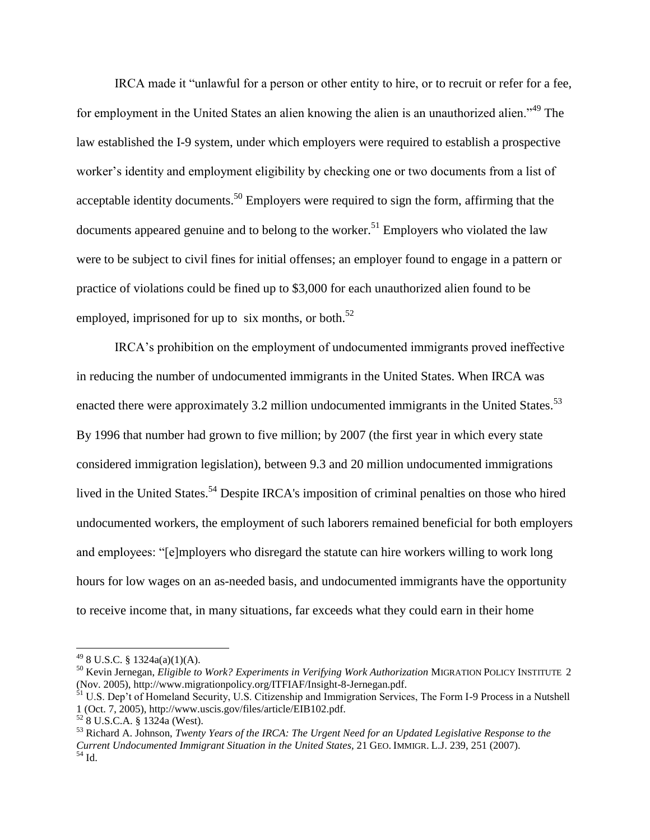IRCA made it "unlawful for a person or other entity to hire, or to recruit or refer for a fee, for employment in the United States an alien knowing the alien is an unauthorized alien."<sup>49</sup> The law established the I-9 system, under which employers were required to establish a prospective worker's identity and employment eligibility by checking one or two documents from a list of acceptable identity documents.<sup>50</sup> Employers were required to sign the form, affirming that the documents appeared genuine and to belong to the worker.<sup>51</sup> Employers who violated the law were to be subject to civil fines for initial offenses; an employer found to engage in a pattern or practice of violations could be fined up to \$3,000 for each unauthorized alien found to be employed, imprisoned for up to six months, or both.<sup>52</sup>

IRCA's prohibition on the employment of undocumented immigrants proved ineffective in reducing the number of undocumented immigrants in the United States. When IRCA was enacted there were approximately 3.2 million undocumented immigrants in the United States.<sup>53</sup> By 1996 that number had grown to five million; by 2007 (the first year in which every state considered immigration legislation), between 9.3 and 20 million undocumented immigrations lived in the United States.<sup>54</sup> Despite IRCA's imposition of criminal penalties on those who hired undocumented workers, the employment of such laborers remained beneficial for both employers and employees: "[e]mployers who disregard the statute can hire workers willing to work long hours for low wages on an as-needed basis, and undocumented immigrants have the opportunity to receive income that, in many situations, far exceeds what they could earn in their home

 $^{49}$  8 U.S.C. § 1324a(a)(1)(A).

<sup>50</sup> Kevin Jernegan, *Eligible to Work? Experiments in Verifying Work Authorization* MIGRATION POLICY INSTITUTE 2 (Nov. 2005), http://www.migrationpolicy.org/ITFIAF/Insight-8-Jernegan.pdf.

<sup>&</sup>lt;sup>51</sup> U.S. Dep't of Homeland Security, U.S. Citizenship and Immigration Services, The Form I-9 Process in a Nutshell 1 (Oct. 7, 2005), http://www.uscis.gov/files/article/EIB102.pdf.

<sup>52</sup> 8 U.S.C.A. § 1324a (West).

<sup>53</sup> Richard A. Johnson, *Twenty Years of the IRCA: The Urgent Need for an Updated Legislative Response to the Current Undocumented Immigrant Situation in the United States,* 21 GEO. IMMIGR. L.J. 239, 251 (2007).  $54$  Id.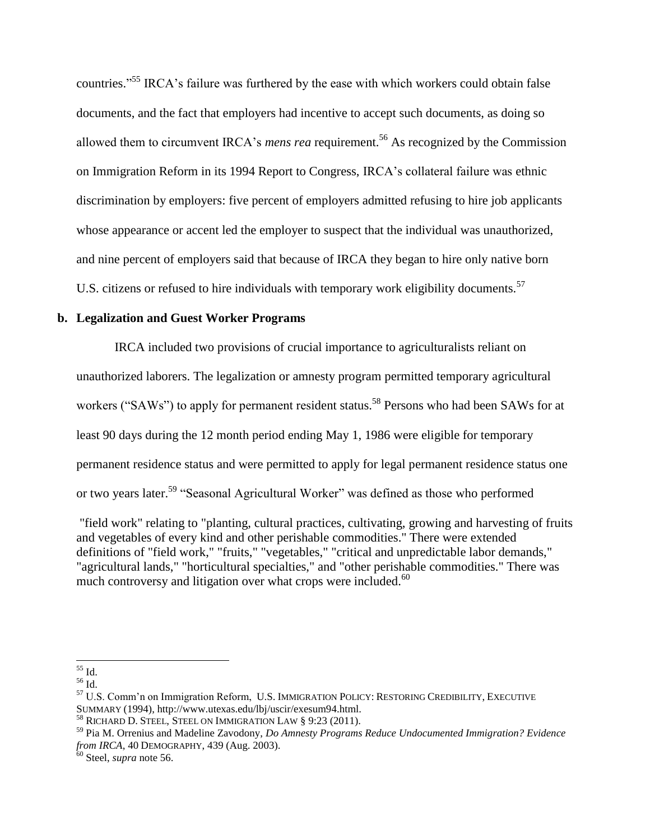countries."<sup>55</sup> IRCA's failure was furthered by the ease with which workers could obtain false documents, and the fact that employers had incentive to accept such documents, as doing so allowed them to circumvent IRCA's *mens rea* requirement.<sup>56</sup> As recognized by the Commission on Immigration Reform in its 1994 Report to Congress, IRCA's collateral failure was ethnic discrimination by employers: five percent of employers admitted refusing to hire job applicants whose appearance or accent led the employer to suspect that the individual was unauthorized, and nine percent of employers said that because of IRCA they began to hire only native born U.S. citizens or refused to hire individuals with temporary work eligibility documents.<sup>57</sup>

# **b. Legalization and Guest Worker Programs**

IRCA included two provisions of crucial importance to agriculturalists reliant on unauthorized laborers. The legalization or amnesty program permitted temporary agricultural workers ("SAWs") to apply for permanent resident status.<sup>58</sup> Persons who had been SAWs for at least 90 days during the 12 month period ending May 1, 1986 were eligible for temporary permanent residence status and were permitted to apply for legal permanent residence status one or two years later.<sup>59</sup> "Seasonal Agricultural Worker" was defined as those who performed

"field work" relating to "planting, cultural practices, cultivating, growing and harvesting of fruits and vegetables of every kind and other perishable commodities." There were extended definitions of "field work," "fruits," "vegetables," "critical and unpredictable labor demands," "agricultural lands," "horticultural specialties," and "other perishable commodities." There was much controversy and litigation over what crops were included.<sup>60</sup>

 $\overline{a}$  $55$  Id.

 $^{56}$  Id.

<sup>57</sup> U.S. Comm'n on Immigration Reform, U.S. IMMIGRATION POLICY: RESTORING CREDIBILITY, EXECUTIVE SUMMARY (1994), http://www.utexas.edu/lbj/uscir/exesum94.html.

<sup>&</sup>lt;sup>58</sup> RICHARD D. STEEL, STEEL ON IMMIGRATION LAW § 9:23 (2011).

<sup>59</sup> Pia M. Orrenius and Madeline Zavodony, *Do Amnesty Programs Reduce Undocumented Immigration? Evidence from IRCA*, 40 DEMOGRAPHY, 439 (Aug. 2003).

<sup>60</sup> Steel, *supra* note 56.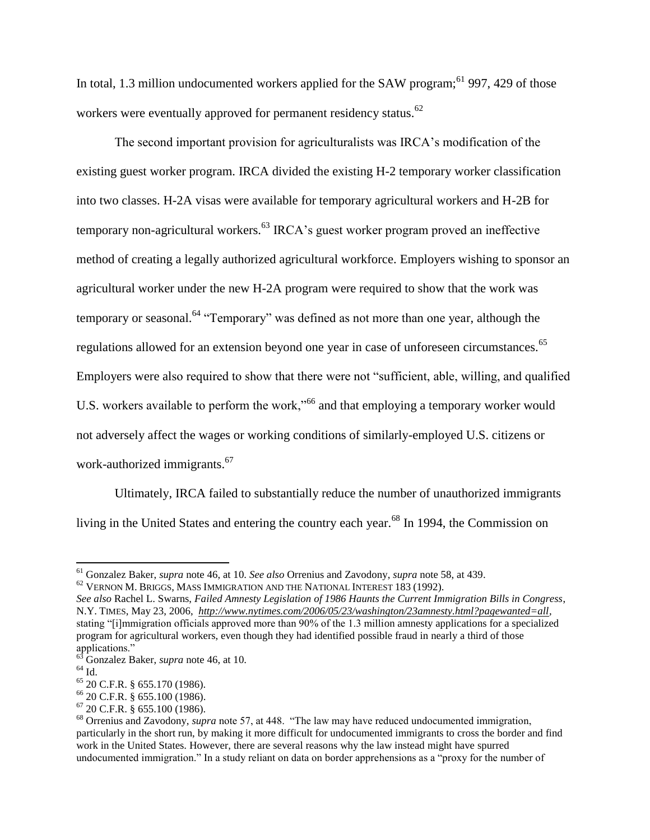In total, 1.3 million undocumented workers applied for the SAW program;<sup>61</sup> 997, 429 of those workers were eventually approved for permanent residency status.<sup>62</sup>

The second important provision for agriculturalists was IRCA's modification of the existing guest worker program. IRCA divided the existing H-2 temporary worker classification into two classes. H-2A visas were available for temporary agricultural workers and H-2B for temporary non-agricultural workers.<sup>63</sup> IRCA's guest worker program proved an ineffective method of creating a legally authorized agricultural workforce. Employers wishing to sponsor an agricultural worker under the new H-2A program were required to show that the work was temporary or seasonal.<sup>64</sup> "Temporary" was defined as not more than one year, although the regulations allowed for an extension beyond one year in case of unforeseen circumstances.<sup>65</sup> Employers were also required to show that there were not "sufficient, able, willing, and qualified U.S. workers available to perform the work,"<sup>66</sup> and that employing a temporary worker would not adversely affect the wages or working conditions of similarly-employed U.S. citizens or work-authorized immigrants.<sup>67</sup>

Ultimately, IRCA failed to substantially reduce the number of unauthorized immigrants living in the United States and entering the country each year.<sup>68</sup> In 1994, the Commission on

<sup>61</sup> Gonzalez Baker, *supra* note 46, at 10. *See also* Orrenius and Zavodony, *supra* note 58, at 439.

 $62$  VERNON M. BRIGGS, MASS IMMIGRATION AND THE NATIONAL INTEREST 183 (1992).

*See also* Rachel L. Swarns, *Failed Amnesty Legislation of 1986 Haunts the Current Immigration Bills in Congress*, N.Y. TIMES, May 23, 2006, *[http://www.nytimes.com/2006/05/23/washington/23amnesty.html?pagewanted=all,](http://www.nytimes.com/2006/05/23/washington/23amnesty.html?pagewanted=all)*  stating "[i]mmigration officials approved more than 90% of the 1.3 million amnesty applications for a specialized program for agricultural workers, even though they had identified possible fraud in nearly a third of those applications."

<sup>63</sup> Gonzalez Baker, *supra* note 46, at 10.

 $64$  Id.

<sup>65</sup> 20 C.F.R. § 655.170 (1986).

<sup>66</sup> 20 C.F.R. § 655.100 (1986).

<sup>67</sup> 20 C.F.R. § 655.100 (1986).

<sup>68</sup> Orrenius and Zavodony, *supra* note 57, at 448. "The law may have reduced undocumented immigration, particularly in the short run, by making it more difficult for undocumented immigrants to cross the border and find work in the United States. However, there are several reasons why the law instead might have spurred undocumented immigration." In a study reliant on data on border apprehensions as a "proxy for the number of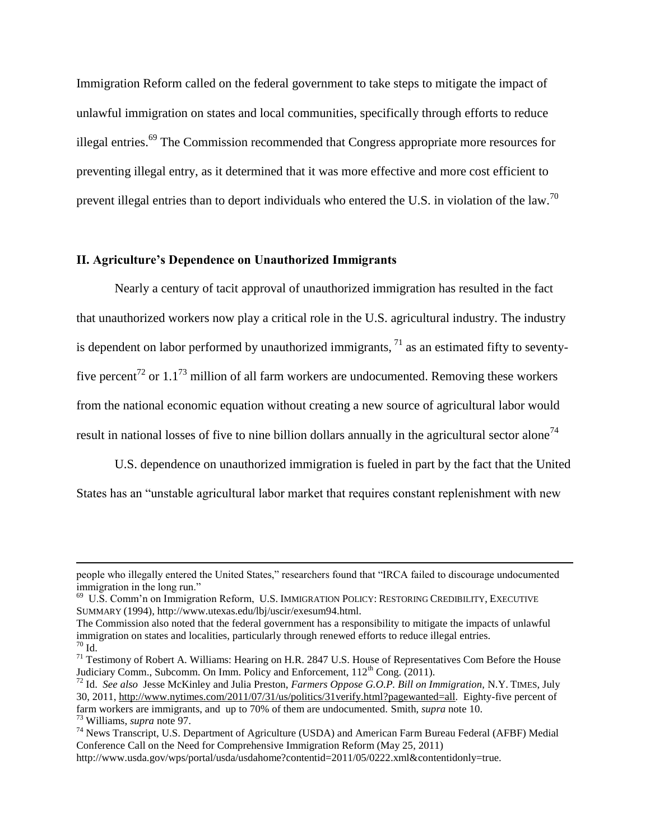Immigration Reform called on the federal government to take steps to mitigate the impact of unlawful immigration on states and local communities, specifically through efforts to reduce illegal entries.<sup>69</sup> The Commission recommended that Congress appropriate more resources for preventing illegal entry, as it determined that it was more effective and more cost efficient to prevent illegal entries than to deport individuals who entered the U.S. in violation of the law.<sup>70</sup>

#### **II. Agriculture's Dependence on Unauthorized Immigrants**

 $\overline{\phantom{a}}$ 

Nearly a century of tacit approval of unauthorized immigration has resulted in the fact that unauthorized workers now play a critical role in the U.S. agricultural industry. The industry is dependent on labor performed by unauthorized immigrants,  $^{71}$  as an estimated fifty to seventyfive percent<sup>72</sup> or 1.1<sup>73</sup> million of all farm workers are undocumented. Removing these workers from the national economic equation without creating a new source of agricultural labor would result in national losses of five to nine billion dollars annually in the agricultural sector alone<sup>74</sup>

U.S. dependence on unauthorized immigration is fueled in part by the fact that the United States has an "unstable agricultural labor market that requires constant replenishment with new

people who illegally entered the United States," researchers found that "IRCA failed to discourage undocumented immigration in the long run."

<sup>&</sup>lt;sup>69</sup> U.S. Comm'n on Immigration Reform, U.S. IMMIGRATION POLICY: RESTORING CREDIBILITY, EXECUTIVE SUMMARY (1994), http://www.utexas.edu/lbj/uscir/exesum94.html.

The Commission also noted that the federal government has a responsibility to mitigate the impacts of unlawful immigration on states and localities, particularly through renewed efforts to reduce illegal entries.  $70$  Id.

<sup>&</sup>lt;sup>71</sup> Testimony of Robert A. Williams: Hearing on H.R. 2847 U.S. House of Representatives Com Before the House Judiciary Comm., Subcomm. On Imm. Policy and Enforcement,  $112<sup>th</sup>$  Cong. (2011).

<sup>72</sup> Id. *See also* Jesse McKinley and Julia Preston, *Farmers Oppose G.O.P. Bill on Immigration,* N.Y. TIMES, July 30, 2011, [http://www.nytimes.com/2011/07/31/us/politics/31verify.html?pagewanted=all.](http://www.nytimes.com/2011/07/31/us/politics/31verify.html?pagewanted=all) Eighty-five percent of farm workers are immigrants, and up to 70% of them are undocumented. Smith, *supra* note 10. <sup>73</sup> Williams, *supra* note 97.

<sup>74</sup> News Transcript, U.S. Department of Agriculture (USDA) and American Farm Bureau Federal (AFBF) Medial Conference Call on the Need for Comprehensive Immigration Reform (May 25, 2011)

http://www.usda.gov/wps/portal/usda/usdahome?contentid=2011/05/0222.xml&contentidonly=true.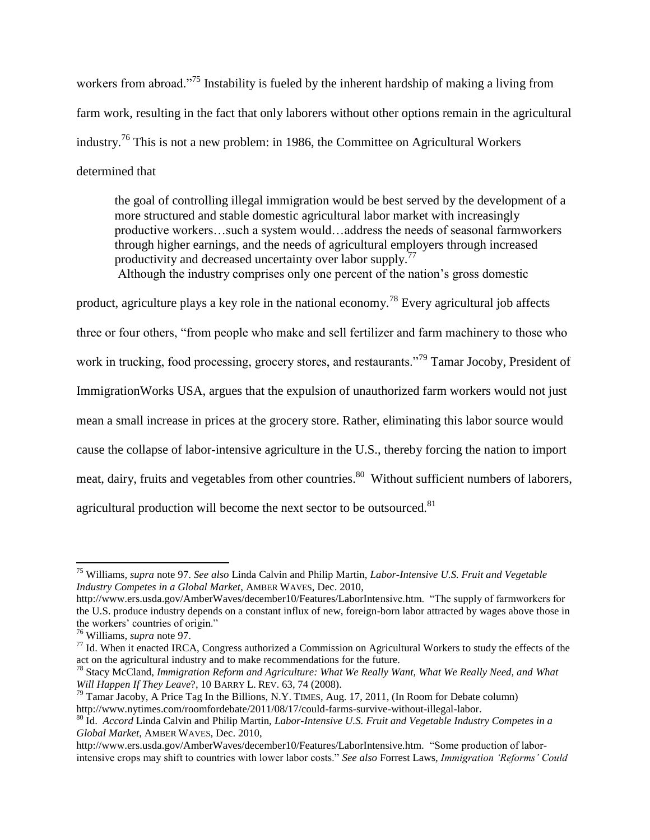workers from abroad.<sup>"75</sup> Instability is fueled by the inherent hardship of making a living from farm work, resulting in the fact that only laborers without other options remain in the agricultural industry.<sup>76</sup> This is not a new problem: in 1986, the Committee on Agricultural Workers determined that

the goal of controlling illegal immigration would be best served by the development of a more structured and stable domestic agricultural labor market with increasingly productive workers…such a system would…address the needs of seasonal farmworkers through higher earnings, and the needs of agricultural employers through increased productivity and decreased uncertainty over labor supply.<sup>77</sup> Although the industry comprises only one percent of the nation's gross domestic

product, agriculture plays a key role in the national economy.<sup>78</sup> Every agricultural job affects three or four others, "from people who make and sell fertilizer and farm machinery to those who work in trucking, food processing, grocery stores, and restaurants."<sup>79</sup> Tamar Jocoby, President of ImmigrationWorks USA, argues that the expulsion of unauthorized farm workers would not just mean a small increase in prices at the grocery store. Rather, eliminating this labor source would cause the collapse of labor-intensive agriculture in the U.S., thereby forcing the nation to import meat, dairy, fruits and vegetables from other countries.<sup>80</sup> Without sufficient numbers of laborers, agricultural production will become the next sector to be outsourced.<sup>81</sup>

<sup>75</sup> Williams, *supra* note 97. *See also* Linda Calvin and Philip Martin, *Labor-Intensive U.S. Fruit and Vegetable Industry Competes in a Global Market*, AMBER WAVES, Dec. 2010,

http://www.ers.usda.gov/AmberWaves/december10/Features/LaborIntensive.htm. "The supply of farmworkers for the U.S. produce industry depends on a constant influx of new, foreign-born labor attracted by wages above those in the workers' countries of origin."

<sup>76</sup> Williams, *supra* note 97.

 $77$  Id. When it enacted IRCA, Congress authorized a Commission on Agricultural Workers to study the effects of the act on the agricultural industry and to make recommendations for the future.

<sup>78</sup> Stacy McCland, *Immigration Reform and Agriculture: What We Really Want, What We Really Need, and What Will Happen If They Leave*?, 10 BARRY L. REV. 63, 74 (2008).

 $^{79}$  Tamar Jacoby, A Price Tag In the Billions, N.Y. TIMES, Aug. 17, 2011, (In Room for Debate column) http://www.nytimes.com/roomfordebate/2011/08/17/could-farms-survive-without-illegal-labor.

<sup>80</sup> Id. *Accord* Linda Calvin and Philip Martin, *Labor-Intensive U.S. Fruit and Vegetable Industry Competes in a Global Market*, AMBER WAVES, Dec. 2010,

http://www.ers.usda.gov/AmberWaves/december10/Features/LaborIntensive.htm. "Some production of laborintensive crops may shift to countries with lower labor costs." *See also* Forrest Laws, *Immigration 'Reforms' Could*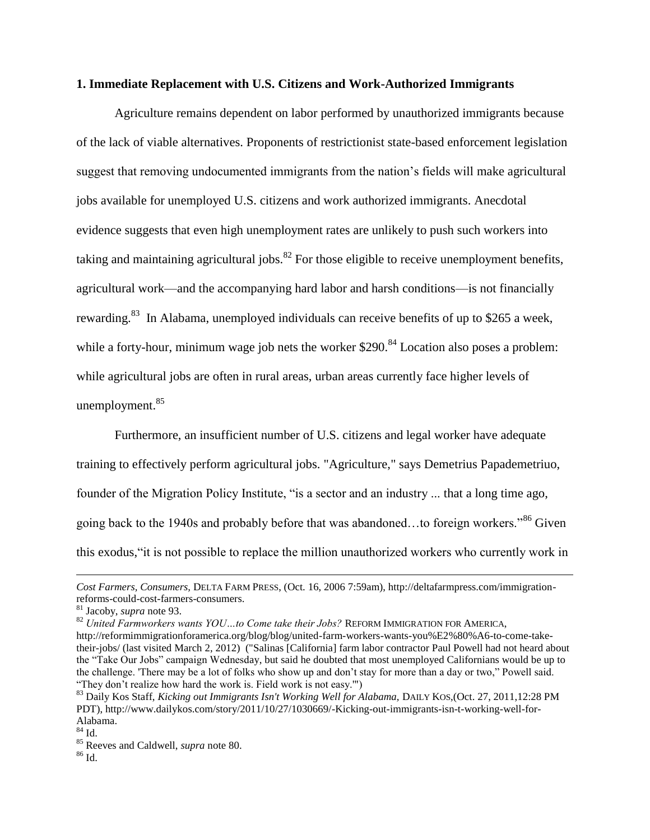#### **1. Immediate Replacement with U.S. Citizens and Work-Authorized Immigrants**

Agriculture remains dependent on labor performed by unauthorized immigrants because of the lack of viable alternatives. Proponents of restrictionist state-based enforcement legislation suggest that removing undocumented immigrants from the nation's fields will make agricultural jobs available for unemployed U.S. citizens and work authorized immigrants. Anecdotal evidence suggests that even high unemployment rates are unlikely to push such workers into taking and maintaining agricultural jobs.<sup>82</sup> For those eligible to receive unemployment benefits, agricultural work—and the accompanying hard labor and harsh conditions—is not financially rewarding.<sup>83</sup> In Alabama, unemployed individuals can receive benefits of up to \$265 a week, while a forty-hour, minimum wage job nets the worker  $$290$ .<sup>84</sup> Location also poses a problem: while agricultural jobs are often in rural areas, urban areas currently face higher levels of unemployment.<sup>85</sup>

Furthermore, an insufficient number of U.S. citizens and legal worker have adequate training to effectively perform agricultural jobs. "Agriculture," says Demetrius Papademetriuo, founder of the Migration Policy Institute, "is a sector and an industry ... that a long time ago, going back to the 1940s and probably before that was abandoned…to foreign workers."<sup>86</sup> Given this exodus,"it is not possible to replace the million unauthorized workers who currently work in

*Cost Farmers, Consumers,* DELTA FARM PRESS, (Oct. 16, 2006 7:59am), http://deltafarmpress.com/immigrationreforms-could-cost-farmers-consumers.

<sup>81</sup> Jacoby, *supra* note 93.

<sup>82</sup> *United Farmworkers wants YOU…to Come take their Jobs?* REFORM IMMIGRATION FOR AMERICA, http://reformimmigrationforamerica.org/blog/blog/united-farm-workers-wants-you%E2%80%A6-to-come-taketheir-jobs/ (last visited March 2, 2012) ("Salinas [California] farm labor contractor Paul Powell had not heard about the "Take Our Jobs" campaign Wednesday, but said he doubted that most unemployed Californians would be up to the challenge. 'There may be a lot of folks who show up and don't stay for more than a day or two," Powell said. "They don't realize how hard the work is. Field work is not easy.'")

<sup>83</sup> Daily Kos Staff, *Kicking out Immigrants Isn't Working Well for Alabama,* DAILY KOS,(Oct. 27, 2011,12:28 PM PDT), http://www.dailykos.com/story/2011/10/27/1030669/-Kicking-out-immigrants-isn-t-working-well-for-Alabama.

<sup>84</sup> Id.

<sup>85</sup> Reeves and Caldwell, *supra* note 80.

 $86$  Id.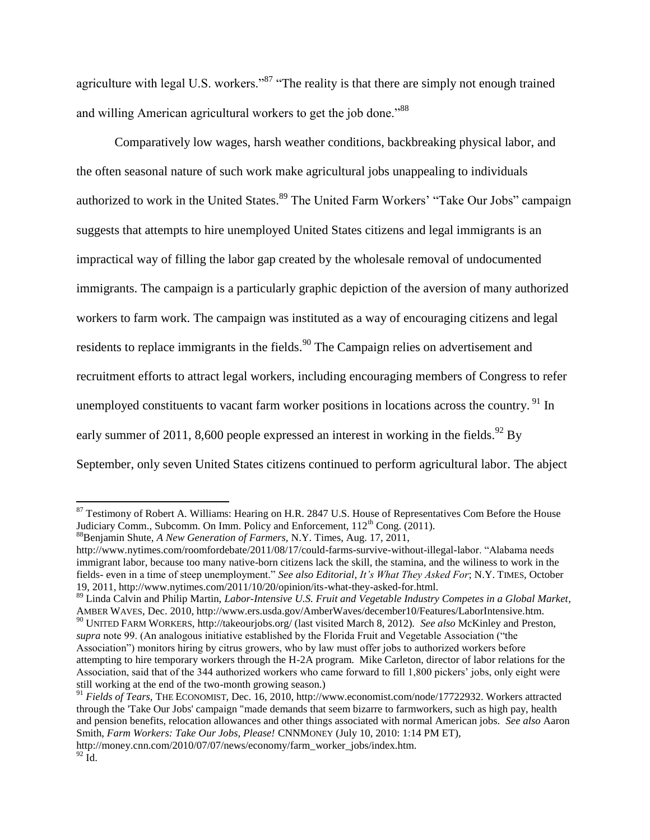agriculture with legal U.S. workers."<sup>87</sup> "The reality is that there are simply not enough trained and willing American agricultural workers to get the job done."<sup>88</sup>

Comparatively low wages, harsh weather conditions, backbreaking physical labor, and the often seasonal nature of such work make agricultural jobs unappealing to individuals authorized to work in the United States.<sup>89</sup> The United Farm Workers' "Take Our Jobs" campaign suggests that attempts to hire unemployed United States citizens and legal immigrants is an impractical way of filling the labor gap created by the wholesale removal of undocumented immigrants. The campaign is a particularly graphic depiction of the aversion of many authorized workers to farm work. The campaign was instituted as a way of encouraging citizens and legal residents to replace immigrants in the fields.<sup>90</sup> The Campaign relies on advertisement and recruitment efforts to attract legal workers, including encouraging members of Congress to refer unemployed constituents to vacant farm worker positions in locations across the country.  $91$  In early summer of 2011, 8,600 people expressed an interest in working in the fields.<sup>92</sup> By September, only seven United States citizens continued to perform agricultural labor. The abject

<sup>88</sup>Benjamin Shute, *A New Generation of Farmers,* N.Y. Times, Aug. 17, 2011,

l

 $87$  Testimony of Robert A. Williams: Hearing on H.R. 2847 U.S. House of Representatives Com Before the House Judiciary Comm., Subcomm. On Imm. Policy and Enforcement, 112<sup>th</sup> Cong. (2011).

http://www.nytimes.com/roomfordebate/2011/08/17/could-farms-survive-without-illegal-labor. "Alabama needs immigrant labor, because too many native-born citizens lack the skill, the stamina, and the wiliness to work in the fields- even in a time of steep unemployment." *See also Editorial*, *It's What They Asked For*; N.Y. TIMES, October 19, 2011, http://www.nytimes.com/2011/10/20/opinion/its-what-they-asked-for.html.

<sup>89</sup> Linda Calvin and Philip Martin, *Labor-Intensive U.S. Fruit and Vegetable Industry Competes in a Global Market*, AMBER WAVES, Dec. 2010, http://www.ers.usda.gov/AmberWaves/december10/Features/LaborIntensive.htm.

<sup>90</sup> UNITED FARM WORKERS, http://takeourjobs.org/ (last visited March 8, 2012). *See also* McKinley and Preston, *supra* note 99. (An analogous initiative established by the Florida Fruit and Vegetable Association ("the Association") monitors hiring by citrus growers, who by law must offer jobs to authorized workers before attempting to hire temporary workers through the H-2A program. Mike Carleton, director of labor relations for the Association, said that of the 344 authorized workers who came forward to fill 1,800 pickers' jobs, only eight were still working at the end of the two-month growing season.)

<sup>91</sup> *Fields of Tears,* THE ECONOMIST, Dec. 16, 2010, http://www.economist.com/node/17722932. Workers attracted through the 'Take Our Jobs' campaign "made demands that seem bizarre to farmworkers, such as high pay, health and pension benefits, relocation allowances and other things associated with normal American jobs. *See also* Aaron Smith, *Farm Workers: Take Our Jobs, Please!* CNNMONEY (July 10, 2010: 1:14 PM ET), http://money.cnn.com/2010/07/07/news/economy/farm\_worker\_jobs/index.htm.  $92 \bar{Id}$ .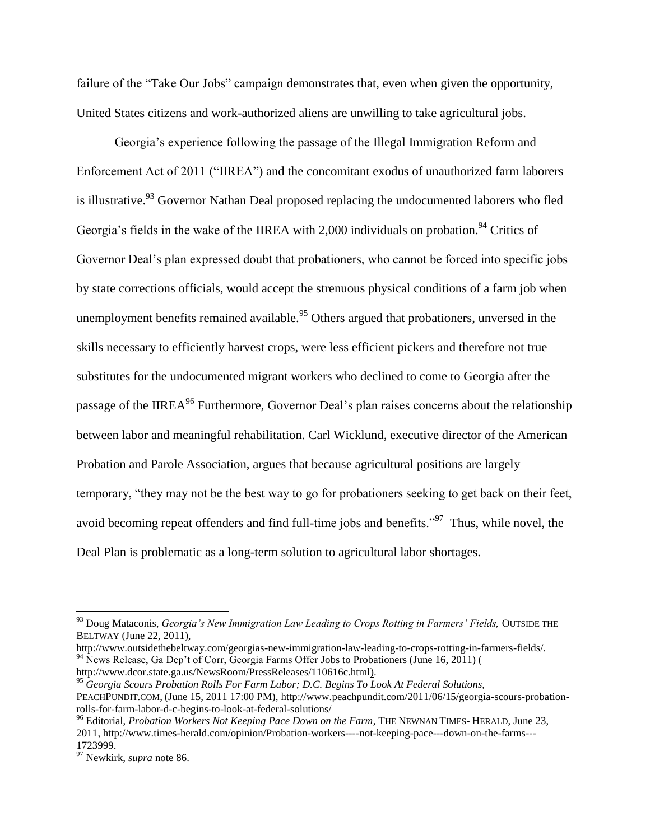failure of the "Take Our Jobs" campaign demonstrates that, even when given the opportunity, United States citizens and work-authorized aliens are unwilling to take agricultural jobs.

Georgia's experience following the passage of the Illegal Immigration Reform and Enforcement Act of 2011 ("IIREA") and the concomitant exodus of unauthorized farm laborers is illustrative.<sup>93</sup> Governor Nathan Deal proposed replacing the undocumented laborers who fled Georgia's fields in the wake of the IIREA with 2,000 individuals on probation.<sup>94</sup> Critics of Governor Deal's plan expressed doubt that probationers, who cannot be forced into specific jobs by state corrections officials, would accept the strenuous physical conditions of a farm job when unemployment benefits remained available.<sup>95</sup> Others argued that probationers, unversed in the skills necessary to efficiently harvest crops, were less efficient pickers and therefore not true substitutes for the undocumented migrant workers who declined to come to Georgia after the passage of the IIREA<sup>96</sup> Furthermore, Governor Deal's plan raises concerns about the relationship between labor and meaningful rehabilitation. Carl Wicklund, executive director of the American Probation and Parole Association, argues that because agricultural positions are largely temporary, "they may not be the best way to go for probationers seeking to get back on their feet, avoid becoming repeat offenders and find full-time jobs and benefits."<sup>97</sup> Thus, while novel, the Deal Plan is problematic as a long-term solution to agricultural labor shortages.

http://www.outsidethebeltway.com/georgias-new-immigration-law-leading-to-crops-rotting-in-farmers-fields/. <sup>94</sup> News Release, Ga Dep't of Corr, Georgia Farms Offer Jobs to Probationers (June 16, 2011) ( http://www.dcor.state.ga.us/NewsRoom/PressReleases/110616c.html).

<sup>95</sup> *Georgia Scours Probation Rolls For Farm Labor; D.C. Begins To Look At Federal Solutions,*  PEACHPUNDIT.COM, (June 15, 2011 17:00 PM), http://www.peachpundit.com/2011/06/15/georgia-scours-probationrolls-for-farm-labor-d-c-begins-to-look-at-federal-solutions/

l

<sup>93</sup> Doug Mataconis, *Georgia's New Immigration Law Leading to Crops Rotting in Farmers' Fields,* OUTSIDE THE BELTWAY (June 22, 2011),

<sup>96</sup> Editorial, *Probation Workers Not Keeping Pace Down on the Farm*, THE NEWNAN TIMES- HERALD, June 23, 2011, http://www.times-herald.com/opinion/Probation-workers----not-keeping-pace---down-on-the-farms--- 1723999.

<sup>97</sup> Newkirk, *supra* note 86.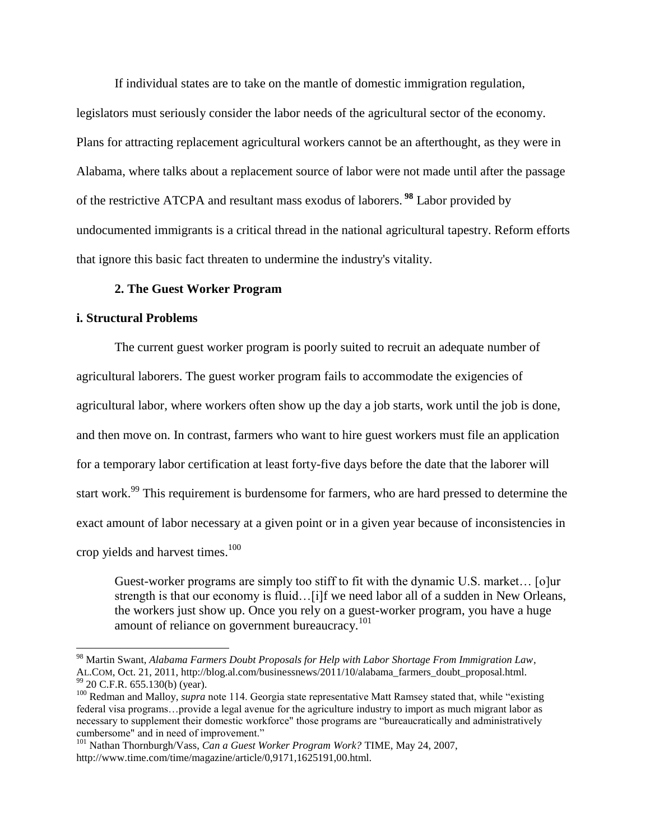If individual states are to take on the mantle of domestic immigration regulation,

legislators must seriously consider the labor needs of the agricultural sector of the economy. Plans for attracting replacement agricultural workers cannot be an afterthought, as they were in Alabama, where talks about a replacement source of labor were not made until after the passage of the restrictive ATCPA and resultant mass exodus of laborers. **<sup>98</sup>** Labor provided by undocumented immigrants is a critical thread in the national agricultural tapestry. Reform efforts that ignore this basic fact threaten to undermine the industry's vitality.

# **2. The Guest Worker Program**

# **i. Structural Problems**

 $\overline{\phantom{a}}$ 

The current guest worker program is poorly suited to recruit an adequate number of agricultural laborers. The guest worker program fails to accommodate the exigencies of agricultural labor, where workers often show up the day a job starts, work until the job is done, and then move on. In contrast, farmers who want to hire guest workers must file an application for a temporary labor certification at least forty-five days before the date that the laborer will start work.<sup>99</sup> This requirement is burdensome for farmers, who are hard pressed to determine the exact amount of labor necessary at a given point or in a given year because of inconsistencies in crop yields and harvest times.<sup>100</sup>

Guest-worker programs are simply too stiff to fit with the dynamic U.S. market… [o]ur strength is that our economy is fluid…[i]f we need labor all of a sudden in New Orleans, the workers just show up. Once you rely on a guest-worker program, you have a huge amount of reliance on government bureaucracy.<sup>101</sup>

<sup>98</sup> Martin Swant, *Alabama Farmers Doubt Proposals for Help with Labor Shortage From Immigration Law*, AL.COM, Oct. 21, 2011, http://blog.al.com/businessnews/2011/10/alabama\_farmers\_doubt\_proposal.html. <sup>99</sup> 20 C.F.R. 655.130(b) (year).

<sup>&</sup>lt;sup>100</sup> Redman and Malloy, *supra* note 114. Georgia state representative Matt Ramsey stated that, while "existing" federal visa programs…provide a legal avenue for the agriculture industry to import as much migrant labor as necessary to supplement their domestic workforce" those programs are "bureaucratically and administratively cumbersome" and in need of improvement."

<sup>101</sup> Nathan Thornburgh/Vass, *Can a Guest Worker Program Work?* TIME, May 24, 2007, http://www.time.com/time/magazine/article/0,9171,1625191,00.html.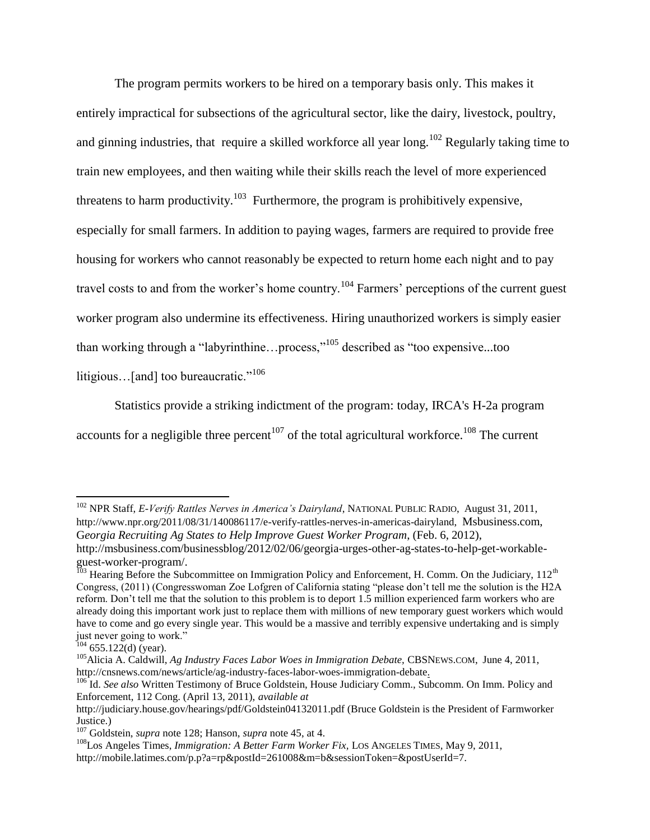The program permits workers to be hired on a temporary basis only. This makes it entirely impractical for subsections of the agricultural sector, like the dairy, livestock, poultry, and ginning industries, that require a skilled workforce all year long.<sup>102</sup> Regularly taking time to train new employees, and then waiting while their skills reach the level of more experienced threatens to harm productivity.<sup>103</sup> Furthermore, the program is prohibitively expensive, especially for small farmers. In addition to paying wages, farmers are required to provide free housing for workers who cannot reasonably be expected to return home each night and to pay travel costs to and from the worker's home country.<sup>104</sup> Farmers' perceptions of the current guest worker program also undermine its effectiveness. Hiring unauthorized workers is simply easier than working through a "labyrinthine...process,"<sup>105</sup> described as "too expensive...too litigious...[and] too bureaucratic."<sup>106</sup>

Statistics provide a striking indictment of the program: today, IRCA's H-2a program accounts for a negligible three percent<sup>107</sup> of the total agricultural workforce.<sup>108</sup> The current

<sup>102</sup> NPR Staff, *E-Verify Rattles Nerves in America's Dairyland*, NATIONAL PUBLIC RADIO, August 31, 2011, http://www.npr.org/2011/08/31/140086117/e-verify-rattles-nerves-in-americas-dairyland, Msbusiness.com, G*eorgia Recruiting Ag States to Help Improve Guest Worker Program*, (Feb. 6, 2012), http://msbusiness.com/businessblog/2012/02/06/georgia-urges-other-ag-states-to-help-get-workableguest-worker-program/.

 $^{103}$  Hearing Before the Subcommittee on Immigration Policy and Enforcement, H. Comm. On the Judiciary, 112<sup>th</sup> Congress, (2011) (Congresswoman Zoe Lofgren of California stating "please don't tell me the solution is the H2A reform. Don't tell me that the solution to this problem is to deport 1.5 million experienced farm workers who are already doing this important work just to replace them with millions of new temporary guest workers which would have to come and go every single year. This would be a massive and terribly expensive undertaking and is simply just never going to work."

 $104$  655.122(d) (year).

<sup>105</sup>Alicia A. Caldwill, *Ag Industry Faces Labor Woes in Immigration Debate,* CBSNEWS.COM, June 4, 2011, http://cnsnews.com/news/article/ag-industry-faces-labor-woes-immigration-debate.

<sup>106</sup> Id. *See also* Written Testimony of Bruce Goldstein, House Judiciary Comm., Subcomm. On Imm. Policy and Enforcement, 112 Cong. (April 13, 2011), *available at* 

http://judiciary.house.gov/hearings/pdf/Goldstein04132011.pdf (Bruce Goldstein is the President of Farmworker Justice.)

<sup>107</sup> Goldstein, *supra* note 128; Hanson, *supra* note 45, at 4.

<sup>108</sup>Los Angeles Times, *Immigration: A Better Farm Worker Fix,* LOS ANGELES TIMES*,* May 9, 2011,

http://mobile.latimes.com/p.p?a=rp&postId=261008&m=b&sessionToken=&postUserId=7.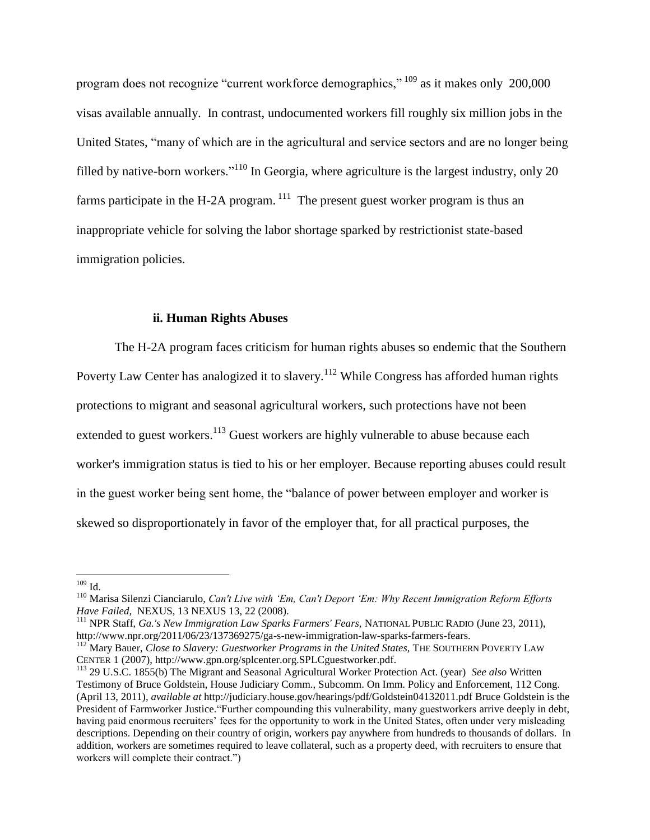program does not recognize "current workforce demographics," <sup>109</sup> as it makes only 200,000 visas available annually. In contrast, undocumented workers fill roughly six million jobs in the United States, "many of which are in the agricultural and service sectors and are no longer being filled by native-born workers."<sup>110</sup> In Georgia, where agriculture is the largest industry, only 20 farms participate in the H-2A program.  $^{111}$  The present guest worker program is thus an inappropriate vehicle for solving the labor shortage sparked by restrictionist state-based immigration policies.

#### **ii. Human Rights Abuses**

The H-2A program faces criticism for human rights abuses so endemic that the Southern Poverty Law Center has analogized it to slavery.<sup>112</sup> While Congress has afforded human rights protections to migrant and seasonal agricultural workers, such protections have not been extended to guest workers.<sup>113</sup> Guest workers are highly vulnerable to abuse because each worker's immigration status is tied to his or her employer. Because reporting abuses could result in the guest worker being sent home, the "balance of power between employer and worker is skewed so disproportionately in favor of the employer that, for all practical purposes, the

 $109$  Id.

<sup>110</sup> Marisa Silenzi Cianciarulo, *Can't Live with 'Em, Can't Deport 'Em: Why Recent Immigration Reform Efforts Have Failed*, NEXUS, 13 NEXUS 13, 22 (2008).

<sup>111</sup> NPR Staff, *Ga.'s New Immigration Law Sparks Farmers' Fears,* NATIONAL PUBLIC RADIO (June 23, 2011), http://www.npr.org/2011/06/23/137369275/ga-s-new-immigration-law-sparks-farmers-fears.

<sup>&</sup>lt;sup>112</sup> Mary Bauer, *Close to Slavery: Guestworker Programs in the United States*, THE SOUTHERN POVERTY LAW CENTER 1 (2007), http://www.gpn.org/splcenter.org.SPLCguestworker.pdf.

<sup>113</sup> 29 U.S.C. 1855(b) The Migrant and Seasonal Agricultural Worker Protection Act. (year) *See also* Written Testimony of Bruce Goldstein, House Judiciary Comm., Subcomm. On Imm. Policy and Enforcement, 112 Cong. (April 13, 2011), *available at* http://judiciary.house.gov/hearings/pdf/Goldstein04132011.pdf Bruce Goldstein is the President of Farmworker Justice."Further compounding this vulnerability, many guestworkers arrive deeply in debt, having paid enormous recruiters' fees for the opportunity to work in the United States, often under very misleading descriptions. Depending on their country of origin, workers pay anywhere from hundreds to thousands of dollars. In addition, workers are sometimes required to leave collateral, such as a property deed, with recruiters to ensure that workers will complete their contract.")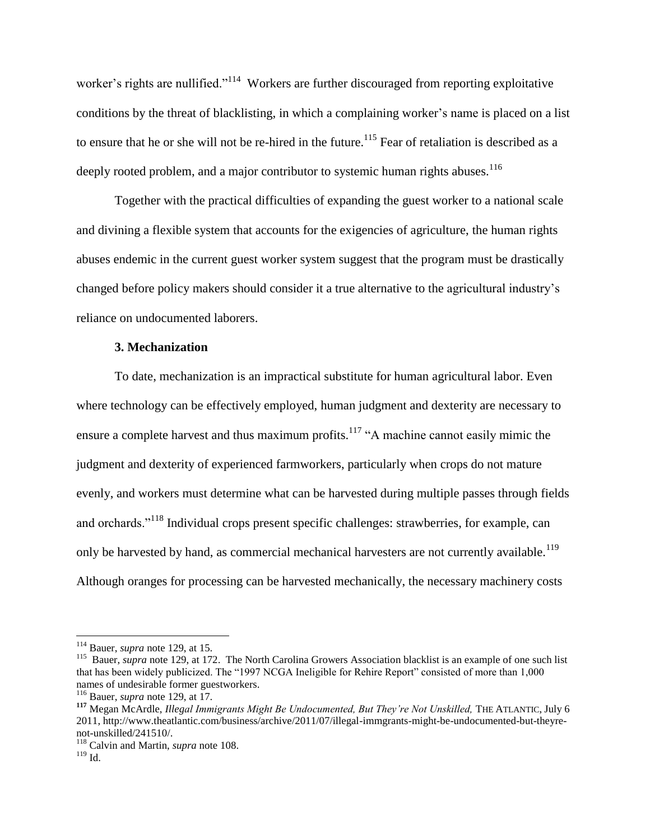worker's rights are nullified."<sup>114</sup> Workers are further discouraged from reporting exploitative conditions by the threat of blacklisting, in which a complaining worker's name is placed on a list to ensure that he or she will not be re-hired in the future.<sup>115</sup> Fear of retaliation is described as a deeply rooted problem, and a major contributor to systemic human rights abuses.<sup>116</sup>

Together with the practical difficulties of expanding the guest worker to a national scale and divining a flexible system that accounts for the exigencies of agriculture, the human rights abuses endemic in the current guest worker system suggest that the program must be drastically changed before policy makers should consider it a true alternative to the agricultural industry's reliance on undocumented laborers.

#### **3. Mechanization**

To date, mechanization is an impractical substitute for human agricultural labor. Even where technology can be effectively employed, human judgment and dexterity are necessary to ensure a complete harvest and thus maximum profits.<sup>117</sup> "A machine cannot easily mimic the judgment and dexterity of experienced farmworkers, particularly when crops do not mature evenly, and workers must determine what can be harvested during multiple passes through fields and orchards."<sup>118</sup> Individual crops present specific challenges: strawberries, for example, can only be harvested by hand, as commercial mechanical harvesters are not currently available.<sup>119</sup> Although oranges for processing can be harvested mechanically, the necessary machinery costs

<sup>114</sup> Bauer, *supra* note 129, at 15.

<sup>&</sup>lt;sup>115</sup> Bauer, *supra* note 129, at 172. The North Carolina Growers Association blacklist is an example of one such list that has been widely publicized. The "1997 NCGA Ineligible for Rehire Report" consisted of more than 1,000 names of undesirable former guestworkers.

<sup>116</sup> Bauer, *supra* note 129, at 17.

**<sup>117</sup>** Megan McArdle, *Illegal Immigrants Might Be Undocumented, But They're Not Unskilled,* THE ATLANTIC, July 6 2011, http://www.theatlantic.com/business/archive/2011/07/illegal-immgrants-might-be-undocumented-but-theyrenot-unskilled/241510/.

<sup>118</sup> Calvin and Martin, *supra* note 108.

 $119$  Id.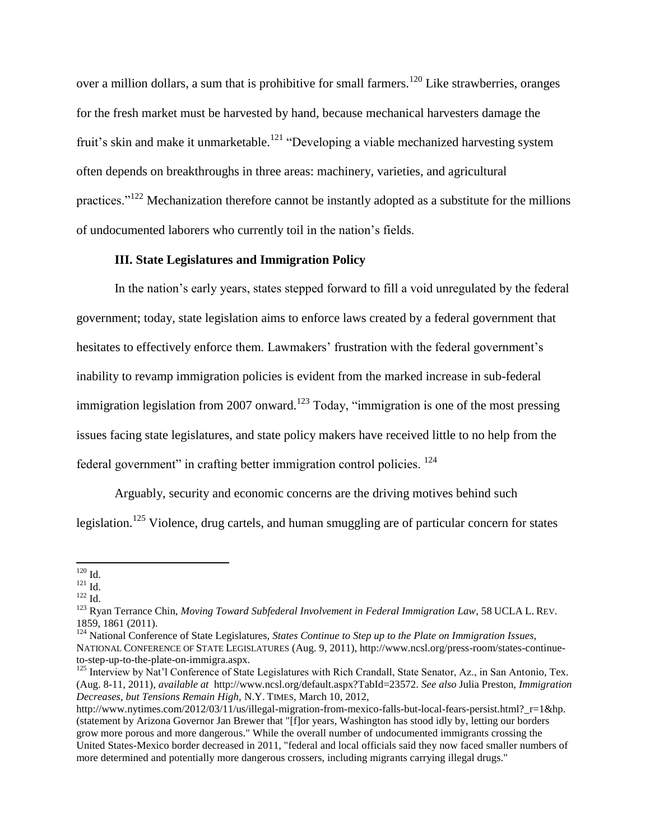over a million dollars, a sum that is prohibitive for small farmers.<sup>120</sup> Like strawberries, oranges for the fresh market must be harvested by hand, because mechanical harvesters damage the fruit's skin and make it unmarketable.<sup>121</sup> "Developing a viable mechanized harvesting system often depends on breakthroughs in three areas: machinery, varieties, and agricultural practices."<sup>122</sup> Mechanization therefore cannot be instantly adopted as a substitute for the millions of undocumented laborers who currently toil in the nation's fields.

#### **III. State Legislatures and Immigration Policy**

In the nation's early years, states stepped forward to fill a void unregulated by the federal government; today, state legislation aims to enforce laws created by a federal government that hesitates to effectively enforce them. Lawmakers' frustration with the federal government's inability to revamp immigration policies is evident from the marked increase in sub-federal immigration legislation from 2007 onward.<sup>123</sup> Today, "immigration is one of the most pressing issues facing state legislatures, and state policy makers have received little to no help from the federal government" in crafting better immigration control policies. <sup>124</sup>

Arguably, security and economic concerns are the driving motives behind such legislation.<sup>125</sup> Violence, drug cartels, and human smuggling are of particular concern for states

 $\overline{\phantom{a}}$  $120$  Id.

<sup>121</sup> Id.

 $122$  Id.

<sup>123</sup> Ryan Terrance Chin, *Moving Toward Subfederal Involvement in Federal Immigration Law*, 58 UCLA L. REV. 1859, 1861 (2011).

<sup>124</sup> National Conference of State Legislatures, *States Continue to Step up to the Plate on Immigration Issues*, NATIONAL CONFERENCE OF STATE LEGISLATURES (Aug. 9, 2011), http://www.ncsl.org/press-room/states-continueto-step-up-to-the-plate-on-immigra.aspx.

 $125$  Interview by Nat'l Conference of State Legislatures with Rich Crandall, State Senator, Az., in San Antonio, Tex. (Aug. 8-11, 2011), *available at* http://www.ncsl.org/default.aspx?TabId=23572. *See also* Julia Preston, *Immigration Decreases, but Tensions Remain High,* N.Y. TIMES, March 10, 2012,

http://www.nytimes.com/2012/03/11/us/illegal-migration-from-mexico-falls-but-local-fears-persist.html?\_r=1&hp. (statement by Arizona Governor Jan Brewer that "[f]or years, Washington has stood idly by, letting our borders grow more porous and more dangerous." While the overall number of undocumented immigrants crossing the United States-Mexico border decreased in 2011, "federal and local officials said they now faced smaller numbers of more determined and potentially more dangerous crossers, including migrants carrying illegal drugs."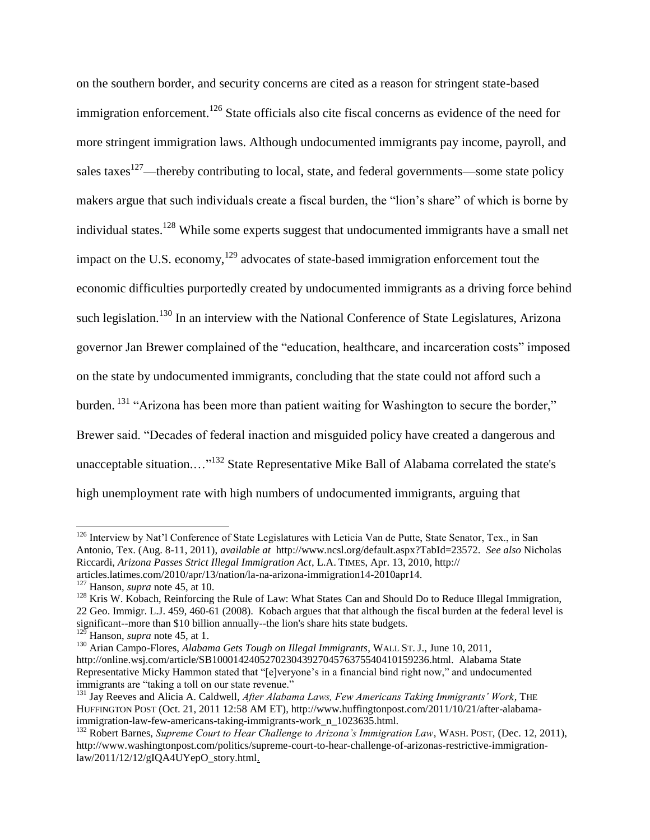on the southern border, and security concerns are cited as a reason for stringent state-based immigration enforcement.<sup>126</sup> State officials also cite fiscal concerns as evidence of the need for more stringent immigration laws. Although undocumented immigrants pay income, payroll, and sales taxes<sup>127</sup>—thereby contributing to local, state, and federal governments—some state policy makers argue that such individuals create a fiscal burden, the "lion's share" of which is borne by individual states.<sup>128</sup> While some experts suggest that undocumented immigrants have a small net impact on the U.S. economy,<sup>129</sup> advocates of state-based immigration enforcement tout the economic difficulties purportedly created by undocumented immigrants as a driving force behind such legislation.<sup>130</sup> In an interview with the National Conference of State Legislatures, Arizona governor Jan Brewer complained of the "education, healthcare, and incarceration costs" imposed on the state by undocumented immigrants, concluding that the state could not afford such a burden. <sup>131</sup> "Arizona has been more than patient waiting for Washington to secure the border," Brewer said. "Decades of federal inaction and misguided policy have created a dangerous and unacceptable situation....<sup>"132</sup> State Representative Mike Ball of Alabama correlated the state's high unemployment rate with high numbers of undocumented immigrants, arguing that

<sup>&</sup>lt;sup>126</sup> Interview by Nat'l Conference of State Legislatures with Leticia Van de Putte, State Senator, Tex., in San Antonio, Tex. (Aug. 8-11, 2011), *available at* http://www.ncsl.org/default.aspx?TabId=23572. *See also* Nicholas Riccardi, *Arizona Passes Strict Illegal Immigration Act*, L.A. TIMES, Apr. 13, 2010, http:// articles.latimes.com/2010/apr/13/nation/la-na-arizona-immigration14-2010apr14.

<sup>127</sup> Hanson, *supra* note 45, at 10.

<sup>&</sup>lt;sup>128</sup> Kris W. Kobach, Reinforcing the Rule of Law: What States Can and Should Do to Reduce Illegal Immigration, 22 Geo. Immigr. L.J. 459, 460-61 (2008). Kobach argues that that although the fiscal burden at the federal level is significant--more than \$10 billion annually--the lion's share hits state budgets.

<sup>&</sup>lt;sup>129</sup> Hanson, *supra* note 45, at 1.

<sup>130</sup> Arian Campo-Flores, *Alabama Gets Tough on Illegal Immigrants*, WALL ST. J., June 10, 2011, http://online.wsj.com/article/SB10001424052702304392704576375540410159236.html. Alabama State Representative Micky Hammon stated that "[e]veryone's in a financial bind right now," and undocumented immigrants are "taking a toll on our state revenue."

<sup>131</sup> Jay Reeves and Alicia A. Caldwell, *After Alabama Laws, Few Americans Taking Immigrants' Work*, THE HUFFINGTON POST (Oct. 21, 2011 12:58 AM ET), http://www.huffingtonpost.com/2011/10/21/after-alabamaimmigration-law-few-americans-taking-immigrants-work\_n\_1023635.html.

<sup>132</sup> Robert Barnes, *Supreme Court to Hear Challenge to Arizona's Immigration Law*, WASH. POST, (Dec. 12, 2011), http://www.washingtonpost.com/politics/supreme-court-to-hear-challenge-of-arizonas-restrictive-immigrationlaw/2011/12/12/gIQA4UYepO\_story.html.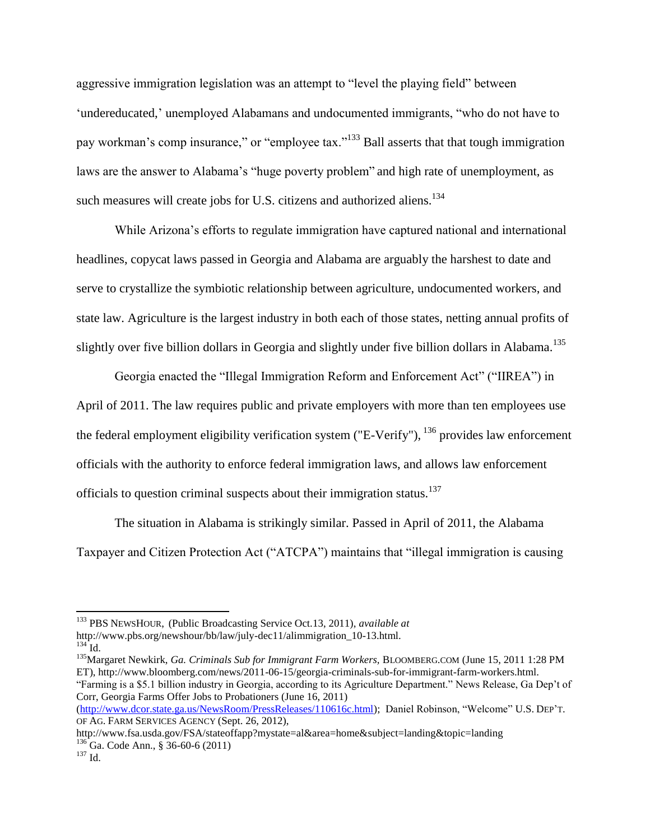aggressive immigration legislation was an attempt to "level the playing field" between 'undereducated,' unemployed Alabamans and undocumented immigrants, "who do not have to pay workman's comp insurance," or "employee tax."<sup>133</sup> Ball asserts that that tough immigration laws are the answer to Alabama's "huge poverty problem" and high rate of unemployment, as such measures will create jobs for U.S. citizens and authorized aliens.<sup>134</sup>

While Arizona's efforts to regulate immigration have captured national and international headlines, copycat laws passed in Georgia and Alabama are arguably the harshest to date and serve to crystallize the symbiotic relationship between agriculture, undocumented workers, and state law. Agriculture is the largest industry in both each of those states, netting annual profits of slightly over five billion dollars in Georgia and slightly under five billion dollars in Alabama.<sup>135</sup>

Georgia enacted the "Illegal Immigration Reform and Enforcement Act" ("IIREA") in April of 2011. The law requires public and private employers with more than ten employees use the federal employment eligibility verification system ("E-Verify"), <sup>136</sup> provides law enforcement officials with the authority to enforce federal immigration laws, and allows law enforcement officials to question criminal suspects about their immigration status.<sup>137</sup>

The situation in Alabama is strikingly similar. Passed in April of 2011, the Alabama Taxpayer and Citizen Protection Act ("ATCPA") maintains that "illegal immigration is causing

<sup>135</sup>Margaret Newkirk, *Ga. Criminals Sub for Immigrant Farm Workers,* BLOOMBERG.COM (June 15, 2011 1:28 PM ET), http://www.bloomberg.com/news/2011-06-15/georgia-criminals-sub-for-immigrant-farm-workers.html. "Farming is a \$5.1 billion industry in Georgia, according to its Agriculture Department." News Release, Ga Dep't of Corr, Georgia Farms Offer Jobs to Probationers (June 16, 2011)

[\(http://www.dcor.state.ga.us/NewsRoom/PressReleases/110616c.html\)](http://www.dcor.state.ga.us/NewsRoom/PressReleases/110616c.html); Daniel Robinson, "Welcome" U.S. DEP'T. OF AG. FARM SERVICES AGENCY (Sept. 26, 2012),

l

<sup>133</sup> PBS NEWSHOUR, (Public Broadcasting Service Oct.13, 2011), *available at* http://www.pbs.org/newshour/bb/law/july-dec11/alimmigration\_10-13.html.  $^{134}$  Id.

http://www.fsa.usda.gov/FSA/stateoffapp?mystate=al&area=home&subject=landing&topic=landing  $^{136}$  Ga. Code Ann., § 36-60-6 (2011)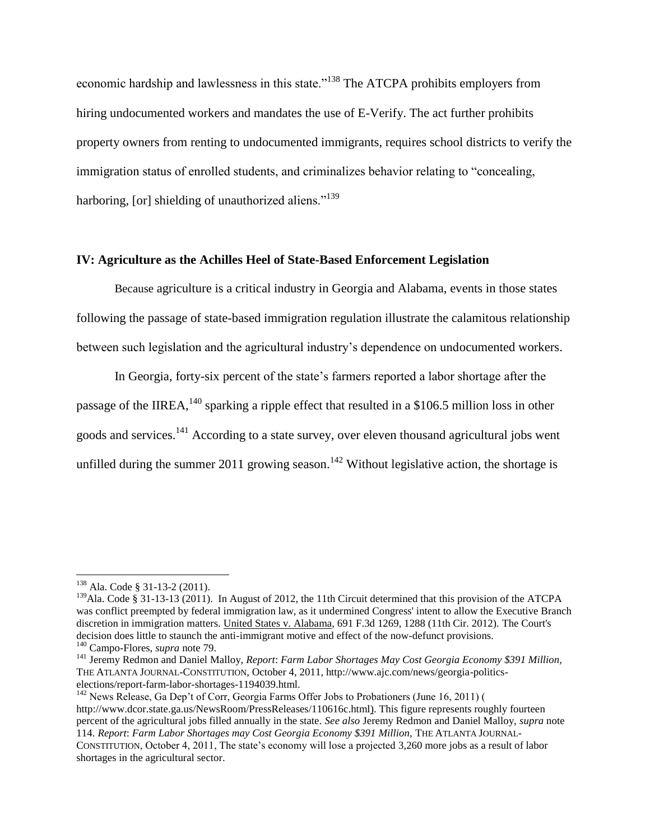economic hardship and lawlessness in this state."<sup>138</sup> The ATCPA prohibits employers from hiring undocumented workers and mandates the use of E-Verify. The act further prohibits property owners from renting to undocumented immigrants, requires school districts to verify the immigration status of enrolled students, and criminalizes behavior relating to "concealing, harboring, [or] shielding of unauthorized aliens."<sup>139</sup>

# **IV: Agriculture as the Achilles Heel of State-Based Enforcement Legislation**

Because agriculture is a critical industry in Georgia and Alabama, events in those states following the passage of state-based immigration regulation illustrate the calamitous relationship between such legislation and the agricultural industry's dependence on undocumented workers.

In Georgia, forty-six percent of the state's farmers reported a labor shortage after the passage of the IIREA,  $^{140}$  sparking a ripple effect that resulted in a \$106.5 million loss in other goods and services.<sup>141</sup> According to a state survey, over eleven thousand agricultural jobs went unfilled during the summer 2011 growing season.<sup>142</sup> Without legislative action, the shortage is

<sup>138</sup> Ala. Code § 31-13-2 (2011).

<sup>&</sup>lt;sup>139</sup>Ala. Code § 31-13-13 (2011). In August of 2012, the 11th Circuit determined that this provision of the ATCPA was conflict preempted by federal immigration law, as it undermined Congress' intent to allow the Executive Branch discretion in immigration matters. United States v. Alabama, 691 F.3d 1269, 1288 (11th Cir. 2012). The Court's decision does little to staunch the anti-immigrant motive and effect of the now-defunct provisions.

<sup>140</sup> Campo-Flores, *supra* note 79.

<sup>141</sup> Jeremy Redmon and Daniel Malloy, *Report*: *Farm Labor Shortages May Cost Georgia Economy \$391 Million,* THE ATLANTA JOURNAL-CONSTITUTION, October 4, 2011, http://www.ajc.com/news/georgia-politicselections/report-farm-labor-shortages-1194039.html.

<sup>&</sup>lt;sup>142</sup> News Release, Ga Dep't of Corr, Georgia Farms Offer Jobs to Probationers (June 16, 2011) ( http://www.dcor.state.ga.us/NewsRoom/PressReleases/110616c.html). This figure represents roughly fourteen percent of the agricultural jobs filled annually in the state. *See also* Jeremy Redmon and Daniel Malloy, *supra* note 114. *Report*: *Farm Labor Shortages may Cost Georgia Economy \$391 Million,* THE ATLANTA JOURNAL-CONSTITUTION, October 4, 2011, The state's economy will lose a projected 3,260 more jobs as a result of labor shortages in the agricultural sector.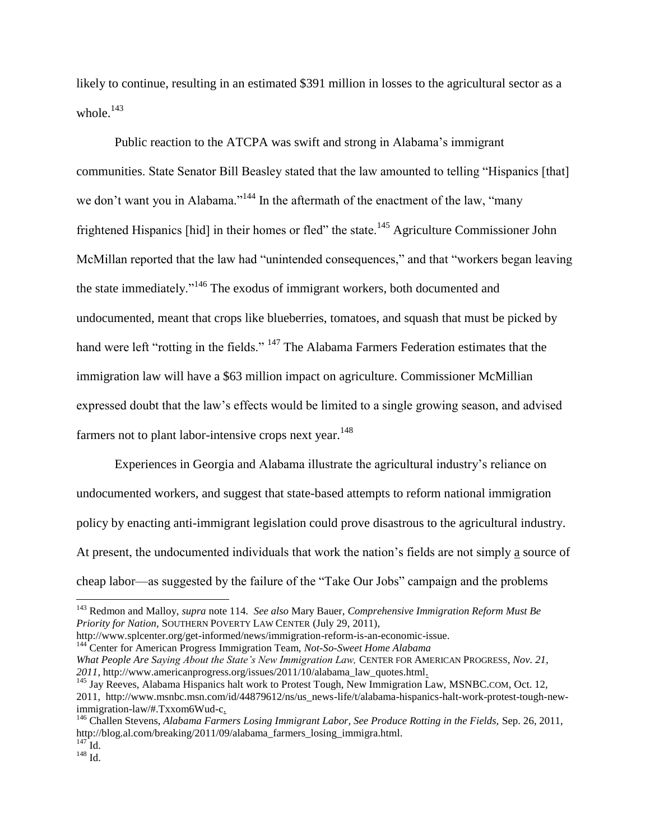likely to continue, resulting in an estimated \$391 million in losses to the agricultural sector as a whole.<sup>143</sup>

Public reaction to the ATCPA was swift and strong in Alabama's immigrant communities. State Senator Bill Beasley stated that the law amounted to telling "Hispanics [that] we don't want you in Alabama."<sup>144</sup> In the aftermath of the enactment of the law, "many" frightened Hispanics [hid] in their homes or fled" the state.<sup>145</sup> Agriculture Commissioner John McMillan reported that the law had "unintended consequences," and that "workers began leaving the state immediately."<sup>146</sup> The exodus of immigrant workers, both documented and undocumented, meant that crops like blueberries, tomatoes, and squash that must be picked by hand were left "rotting in the fields." <sup>147</sup> The Alabama Farmers Federation estimates that the immigration law will have a \$63 million impact on agriculture. Commissioner McMillian expressed doubt that the law's effects would be limited to a single growing season, and advised farmers not to plant labor-intensive crops next year.<sup>148</sup>

Experiences in Georgia and Alabama illustrate the agricultural industry's reliance on undocumented workers, and suggest that state-based attempts to reform national immigration policy by enacting anti-immigrant legislation could prove disastrous to the agricultural industry. At present, the undocumented individuals that work the nation's fields are not simply a source of cheap labor—as suggested by the failure of the "Take Our Jobs" campaign and the problems

<sup>144</sup> Center for American Progress Immigration Team, *Not-So-Sweet Home Alabama What People Are Saying About the State's New Immigration Law,* CENTER FOR AMERICAN PROGRESS, *Nov. 21, 2011,* http://www.americanprogress.org/issues/2011/10/alabama\_law\_quotes.html.

<sup>143</sup> Redmon and Malloy, *supra* note 114. *See also* Mary Bauer, *Comprehensive Immigration Reform Must Be Priority for Nation,* SOUTHERN POVERTY LAW CENTER (July 29, 2011),

http://www.splcenter.org/get-informed/news/immigration-reform-is-an-economic-issue.

<sup>&</sup>lt;sup>145</sup> Jay Reeves, Alabama Hispanics halt work to Protest Tough, New Immigration Law, MSNBC.COM, Oct. 12, 2011, http://www.msnbc.msn.com/id/44879612/ns/us\_news-life/t/alabama-hispanics-halt-work-protest-tough-newimmigration-law/#.Txxom6Wud-c.

<sup>146</sup> Challen Stevens, *Alabama Farmers Losing Immigrant Labor, See Produce Rotting in the Fields,* Sep. 26, 2011, http://blog.al.com/breaking/2011/09/alabama\_farmers\_losing\_immigra.html.  $^{147}$  Id.

 $^{148}$  Id.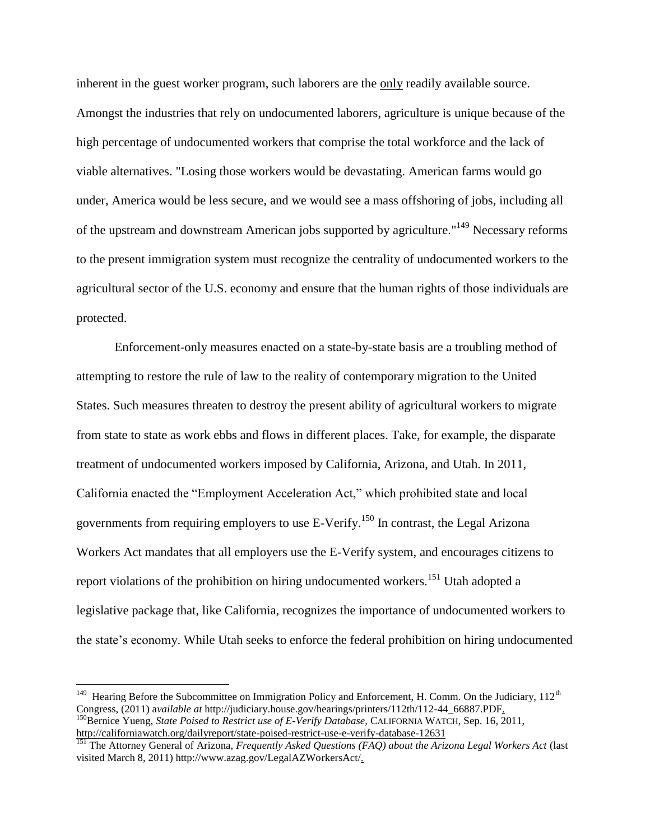inherent in the guest worker program, such laborers are the only readily available source. Amongst the industries that rely on undocumented laborers, agriculture is unique because of the high percentage of undocumented workers that comprise the total workforce and the lack of viable alternatives. "Losing those workers would be devastating. American farms would go under, America would be less secure, and we would see a mass offshoring of jobs, including all of the upstream and downstream American jobs supported by agriculture."<sup>149</sup> Necessary reforms to the present immigration system must recognize the centrality of undocumented workers to the agricultural sector of the U.S. economy and ensure that the human rights of those individuals are protected.

Enforcement-only measures enacted on a state-by-state basis are a troubling method of attempting to restore the rule of law to the reality of contemporary migration to the United States. Such measures threaten to destroy the present ability of agricultural workers to migrate from state to state as work ebbs and flows in different places. Take, for example, the disparate treatment of undocumented workers imposed by California, Arizona, and Utah. In 2011, California enacted the "Employment Acceleration Act," which prohibited state and local governments from requiring employers to use E-Verify.<sup>150</sup> In contrast, the Legal Arizona Workers Act mandates that all employers use the E-Verify system, and encourages citizens to report violations of the prohibition on hiring undocumented workers.<sup>151</sup> Utah adopted a legislative package that, like California, recognizes the importance of undocumented workers to the state's economy. While Utah seeks to enforce the federal prohibition on hiring undocumented

<sup>&</sup>lt;sup>149</sup> Hearing Before the Subcommittee on Immigration Policy and Enforcement, H. Comm. On the Judiciary, 112<sup>th</sup> Congress, (2011) a*vailable at* http://judiciary.house.gov/hearings/printers/112th/112-44\_66887.PDF. <sup>150</sup>Bernice Yueng, *State Poised to Restrict use of E-Verify Database,* CALIFORNIA WATCH, Sep. 16, 2011, <http://californiawatch.org/dailyreport/state-poised-restrict-use-e-verify-database-12631>

<sup>151</sup> The Attorney General of Arizona, *Frequently Asked Questions (FAQ) about the Arizona Legal Workers Act* (last visited March 8, 2011) http://www.azag.gov/LegalAZWorkersAct/.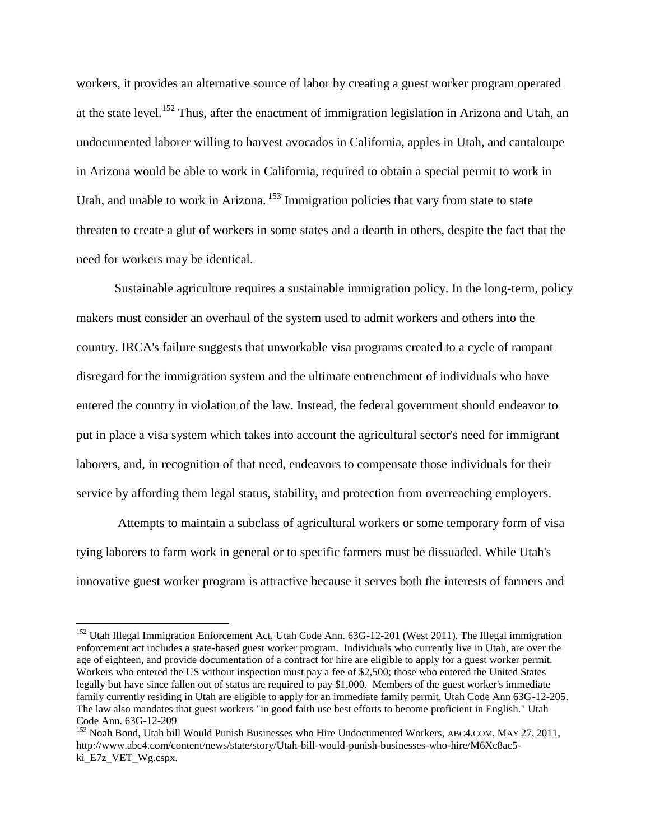workers, it provides an alternative source of labor by creating a guest worker program operated at the state level.<sup>152</sup> Thus, after the enactment of immigration legislation in Arizona and Utah, an undocumented laborer willing to harvest avocados in California, apples in Utah, and cantaloupe in Arizona would be able to work in California, required to obtain a special permit to work in Utah, and unable to work in Arizona.<sup>153</sup> Immigration policies that vary from state to state threaten to create a glut of workers in some states and a dearth in others, despite the fact that the need for workers may be identical.

Sustainable agriculture requires a sustainable immigration policy. In the long-term, policy makers must consider an overhaul of the system used to admit workers and others into the country. IRCA's failure suggests that unworkable visa programs created to a cycle of rampant disregard for the immigration system and the ultimate entrenchment of individuals who have entered the country in violation of the law. Instead, the federal government should endeavor to put in place a visa system which takes into account the agricultural sector's need for immigrant laborers, and, in recognition of that need, endeavors to compensate those individuals for their service by affording them legal status, stability, and protection from overreaching employers.

Attempts to maintain a subclass of agricultural workers or some temporary form of visa tying laborers to farm work in general or to specific farmers must be dissuaded. While Utah's innovative guest worker program is attractive because it serves both the interests of farmers and

 $\overline{a}$ 

<sup>&</sup>lt;sup>152</sup> Utah Illegal Immigration Enforcement Act, Utah Code Ann. 63G-12-201 (West 2011). The Illegal immigration enforcement act includes a state-based guest worker program. Individuals who currently live in Utah, are over the age of eighteen, and provide documentation of a contract for hire are eligible to apply for a guest worker permit. Workers who entered the US without inspection must pay a fee of \$2,500; those who entered the United States legally but have since fallen out of status are required to pay \$1,000. Members of the guest worker's immediate family currently residing in Utah are eligible to apply for an immediate family permit. Utah Code Ann 63G-12-205. The law also mandates that guest workers "in good faith use best efforts to become proficient in English." Utah Code Ann. 63G-12-209

<sup>&</sup>lt;sup>153</sup> Noah Bond, Utah bill Would Punish Businesses who Hire Undocumented Workers, ABC4.COM, MAY 27, 2011, http://www.abc4.com/content/news/state/story/Utah-bill-would-punish-businesses-who-hire/M6Xc8ac5 ki\_E7z\_VET\_Wg.cspx.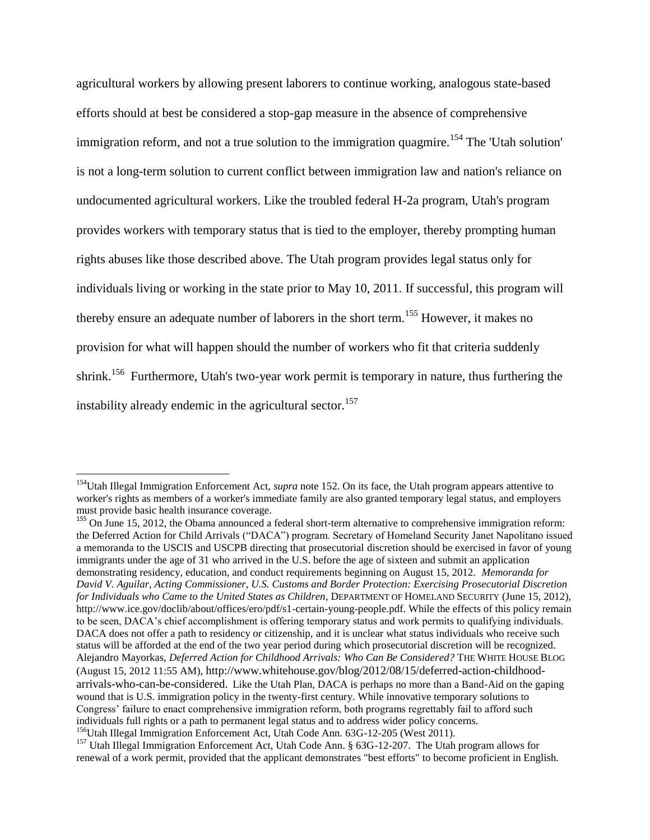agricultural workers by allowing present laborers to continue working, analogous state-based efforts should at best be considered a stop-gap measure in the absence of comprehensive immigration reform, and not a true solution to the immigration quagmire.<sup>154</sup> The 'Utah solution' is not a long-term solution to current conflict between immigration law and nation's reliance on undocumented agricultural workers. Like the troubled federal H-2a program, Utah's program provides workers with temporary status that is tied to the employer, thereby prompting human rights abuses like those described above. The Utah program provides legal status only for individuals living or working in the state prior to May 10, 2011. If successful, this program will thereby ensure an adequate number of laborers in the short term.<sup>155</sup> However, it makes no provision for what will happen should the number of workers who fit that criteria suddenly shrink.<sup>156</sup> Furthermore, Utah's two-year work permit is temporary in nature, thus furthering the instability already endemic in the agricultural sector.<sup>157</sup>

<sup>&</sup>lt;sup>154</sup>Utah Illegal Immigration Enforcement Act, *supra* note 152. On its face, the Utah program appears attentive to worker's rights as members of a worker's immediate family are also granted temporary legal status, and employers must provide basic health insurance coverage.

<sup>&</sup>lt;sup>155</sup> On June 15, 2012, the Obama announced a federal short-term alternative to comprehensive immigration reform: the Deferred Action for Child Arrivals ("DACA") program. Secretary of Homeland Security Janet Napolitano issued a memoranda to the USCIS and USCPB directing that prosecutorial discretion should be exercised in favor of young immigrants under the age of 31 who arrived in the U.S. before the age of sixteen and submit an application demonstrating residency, education, and conduct requirements beginning on August 15, 2012. *Memoranda for David V. Aguilar, Acting Commissioner, U.S. Customs and Border Protection: Exercising Prosecutorial Discretion for Individuals who Came to the United States as Children*, DEPARTMENT OF HOMELAND SECURITY (June 15, 2012), http://www.ice.gov/doclib/about/offices/ero/pdf/s1-certain-young-people.pdf. While the effects of this policy remain to be seen, DACA's chief accomplishment is offering temporary status and work permits to qualifying individuals. DACA does not offer a path to residency or citizenship, and it is unclear what status individuals who receive such status will be afforded at the end of the two year period during which prosecutorial discretion will be recognized. Alejandro Mayorkas, *Deferred Action for Childhood Arrivals: Who Can Be Considered?* THE WHITE HOUSE BLOG (August 15, 2012 11:55 AM), http://www.whitehouse.gov/blog/2012/08/15/deferred-action-childhoodarrivals-who-can-be-considered. Like the Utah Plan, DACA is perhaps no more than a Band-Aid on the gaping wound that is U.S. immigration policy in the twenty-first century. While innovative temporary solutions to Congress' failure to enact comprehensive immigration reform, both programs regrettably fail to afford such individuals full rights or a path to permanent legal status and to address wider policy concerns. <sup>156</sup>Utah Illegal Immigration Enforcement Act, Utah Code Ann. 63G-12-205 (West 2011).

<sup>157</sup> Utah Illegal Immigration Enforcement Act, Utah Code Ann. § 63G-12-207. The Utah program allows for renewal of a work permit, provided that the applicant demonstrates "best efforts" to become proficient in English.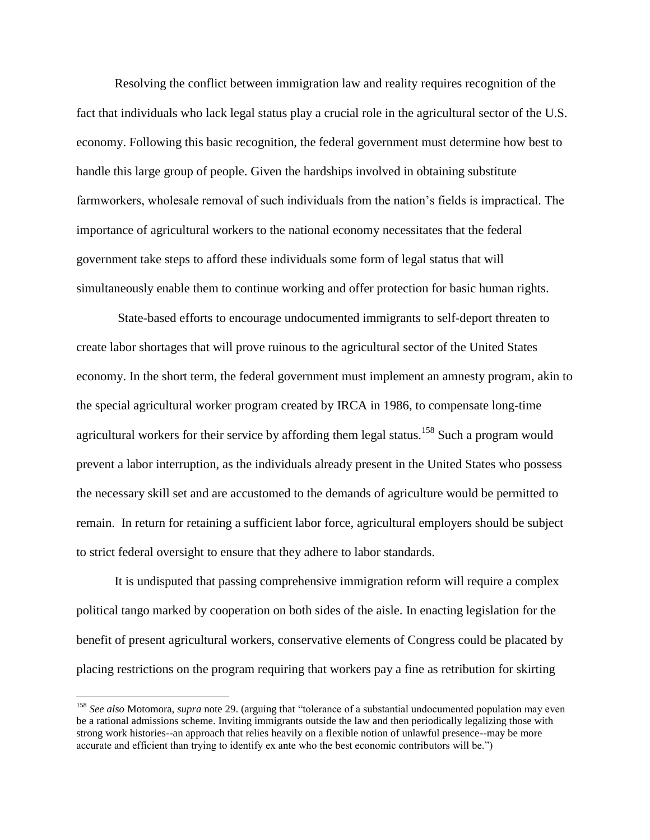Resolving the conflict between immigration law and reality requires recognition of the fact that individuals who lack legal status play a crucial role in the agricultural sector of the U.S. economy. Following this basic recognition, the federal government must determine how best to handle this large group of people. Given the hardships involved in obtaining substitute farmworkers, wholesale removal of such individuals from the nation's fields is impractical. The importance of agricultural workers to the national economy necessitates that the federal government take steps to afford these individuals some form of legal status that will simultaneously enable them to continue working and offer protection for basic human rights.

State-based efforts to encourage undocumented immigrants to self-deport threaten to create labor shortages that will prove ruinous to the agricultural sector of the United States economy. In the short term, the federal government must implement an amnesty program, akin to the special agricultural worker program created by IRCA in 1986, to compensate long-time agricultural workers for their service by affording them legal status.<sup>158</sup> Such a program would prevent a labor interruption, as the individuals already present in the United States who possess the necessary skill set and are accustomed to the demands of agriculture would be permitted to remain. In return for retaining a sufficient labor force, agricultural employers should be subject to strict federal oversight to ensure that they adhere to labor standards.

It is undisputed that passing comprehensive immigration reform will require a complex political tango marked by cooperation on both sides of the aisle. In enacting legislation for the benefit of present agricultural workers, conservative elements of Congress could be placated by placing restrictions on the program requiring that workers pay a fine as retribution for skirting

 $\overline{a}$ 

<sup>158</sup> *See also* Motomora, *supra* note 29. (arguing that "tolerance of a substantial undocumented population may even be a rational admissions scheme. Inviting immigrants outside the law and then periodically legalizing those with strong work histories--an approach that relies heavily on a flexible notion of unlawful presence--may be more accurate and efficient than trying to identify ex ante who the best economic contributors will be.")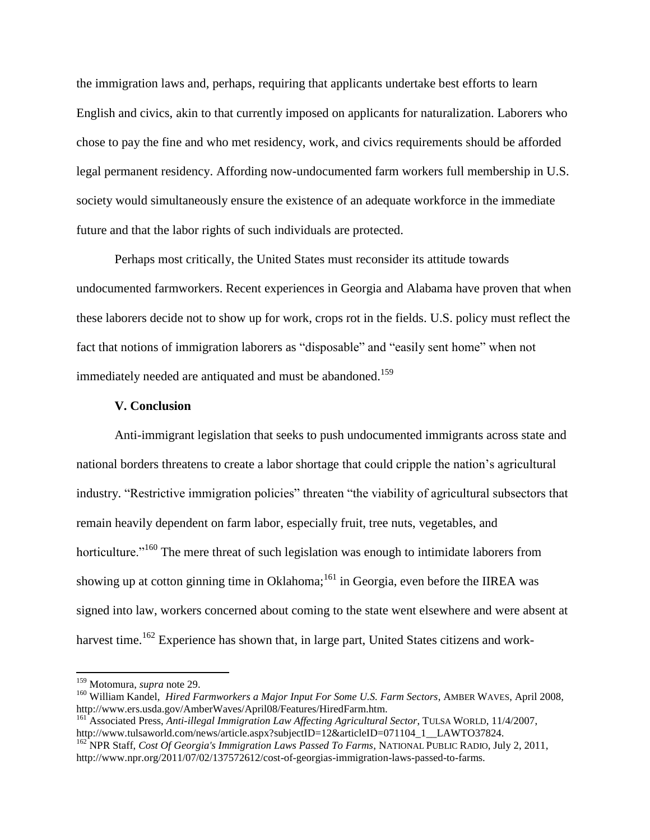the immigration laws and, perhaps, requiring that applicants undertake best efforts to learn English and civics, akin to that currently imposed on applicants for naturalization. Laborers who chose to pay the fine and who met residency, work, and civics requirements should be afforded legal permanent residency. Affording now-undocumented farm workers full membership in U.S. society would simultaneously ensure the existence of an adequate workforce in the immediate future and that the labor rights of such individuals are protected.

Perhaps most critically, the United States must reconsider its attitude towards undocumented farmworkers. Recent experiences in Georgia and Alabama have proven that when these laborers decide not to show up for work, crops rot in the fields. U.S. policy must reflect the fact that notions of immigration laborers as "disposable" and "easily sent home" when not immediately needed are antiquated and must be abandoned.<sup>159</sup>

#### **V. Conclusion**

Anti-immigrant legislation that seeks to push undocumented immigrants across state and national borders threatens to create a labor shortage that could cripple the nation's agricultural industry. "Restrictive immigration policies" threaten "the viability of agricultural subsectors that remain heavily dependent on farm labor, especially fruit, tree nuts, vegetables, and horticulture."<sup>160</sup> The mere threat of such legislation was enough to intimidate laborers from showing up at cotton ginning time in Oklahoma;<sup>161</sup> in Georgia, even before the IIREA was signed into law, workers concerned about coming to the state went elsewhere and were absent at harvest time.<sup>162</sup> Experience has shown that, in large part, United States citizens and work-

<sup>159</sup> Motomura, *supra* note 29.

<sup>160</sup> William Kandel, *Hired Farmworkers a Major Input For Some U.S. Farm Sectors*, AMBER WAVES, April 2008, http://www.ers.usda.gov/AmberWaves/April08/Features/HiredFarm.htm.

<sup>161</sup> Associated Press, *Anti-illegal Immigration Law Affecting Agricultural Sector*, TULSA WORLD, 11/4/2007, http://www.tulsaworld.com/news/article.aspx?subjectID=12&articleID=071104\_1\_LAWTO37824.

<sup>&</sup>lt;sup>162</sup> NPR Staff, *Cost Of Georgia's Immigration Laws Passed To Farms*, NATIONAL PUBLIC RADIO, July 2, 2011, http://www.npr.org/2011/07/02/137572612/cost-of-georgias-immigration-laws-passed-to-farms.